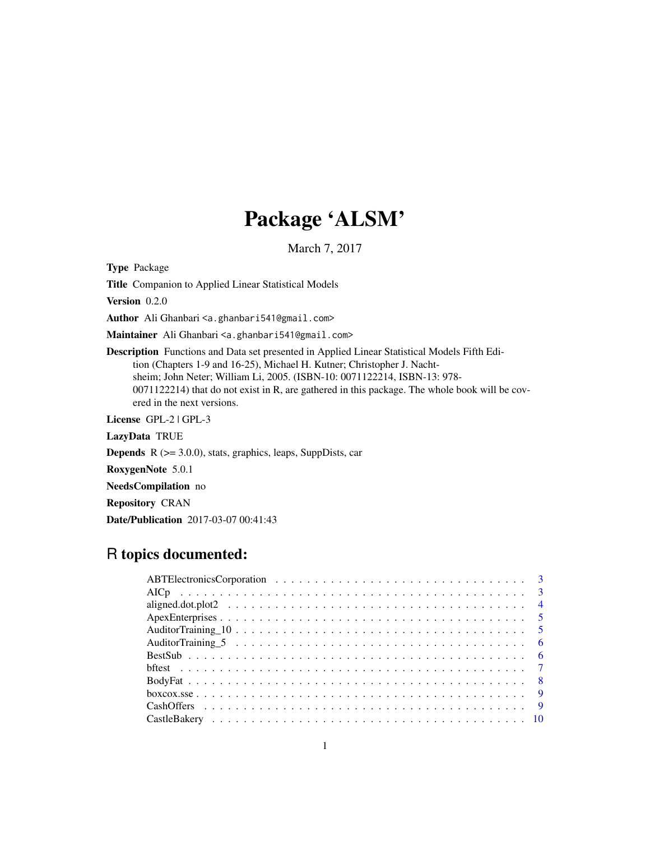# Package 'ALSM'

March 7, 2017

Type Package

Title Companion to Applied Linear Statistical Models

Version 0.2.0

Author Ali Ghanbari <a.ghanbari541@gmail.com>

Maintainer Ali Ghanbari <a.ghanbari541@gmail.com>

Description Functions and Data set presented in Applied Linear Statistical Models Fifth Edition (Chapters 1-9 and 16-25), Michael H. Kutner; Christopher J. Nachtsheim; John Neter; William Li, 2005. (ISBN-10: 0071122214, ISBN-13: 978- 0071122214) that do not exist in R, are gathered in this package. The whole book will be covered in the next versions.

License GPL-2 | GPL-3

LazyData TRUE

**Depends**  $R$  ( $>= 3.0.0$ ), stats, graphics, leaps, SuppDists, car

RoxygenNote 5.0.1

NeedsCompilation no

Repository CRAN

Date/Publication 2017-03-07 00:41:43

# R topics documented: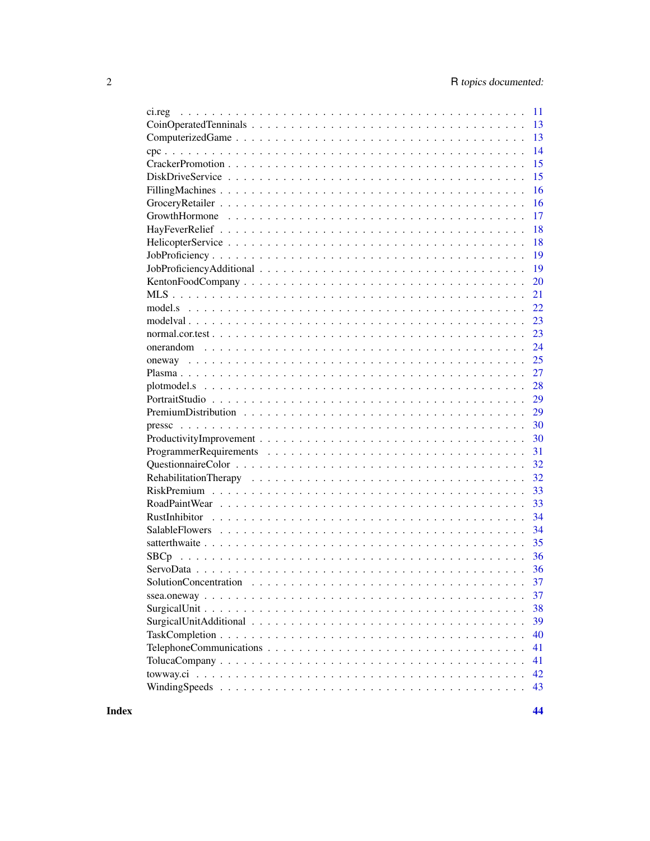| 11<br>ci.reg |
|--------------|
| 13           |
| 13           |
| 14           |
| 15           |
| 15           |
| 16           |
| 16           |
| 17           |
| 18           |
| 18           |
| 19           |
| 19           |
| 20           |
| 21           |
| 22           |
| 23           |
| 23           |
| 24           |
| 25           |
| 27           |
| 28           |
| 29           |
| 29           |
| 30           |
| 30           |
| 31           |
| 32           |
| 32           |
| 33           |
| 33           |
| 34           |
| 34           |
| 35           |
| 36           |
| 36           |
| 37           |
| 37           |
| 38           |
| 39           |
| 40           |
| 41           |
| 41           |
| 42           |
| 43           |
|              |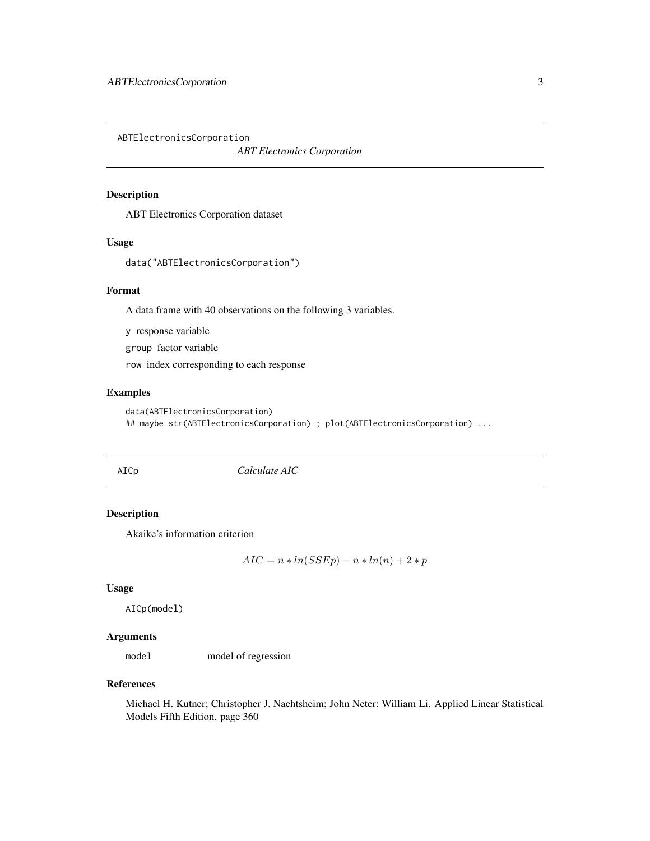<span id="page-2-0"></span>ABTElectronicsCorporation

*ABT Electronics Corporation*

# Description

ABT Electronics Corporation dataset

### Usage

data("ABTElectronicsCorporation")

#### Format

A data frame with 40 observations on the following 3 variables.

y response variable

group factor variable

row index corresponding to each response

# Examples

```
data(ABTElectronicsCorporation)
## maybe str(ABTElectronicsCorporation) ; plot(ABTElectronicsCorporation) ...
```
<span id="page-2-1"></span>AICp *Calculate AIC*

# Description

Akaike's information criterion

$$
AIC = n * ln(SSEp) - n * ln(n) + 2 * p
$$

#### Usage

AICp(model)

# Arguments

model model of regression

# References

Michael H. Kutner; Christopher J. Nachtsheim; John Neter; William Li. Applied Linear Statistical Models Fifth Edition. page 360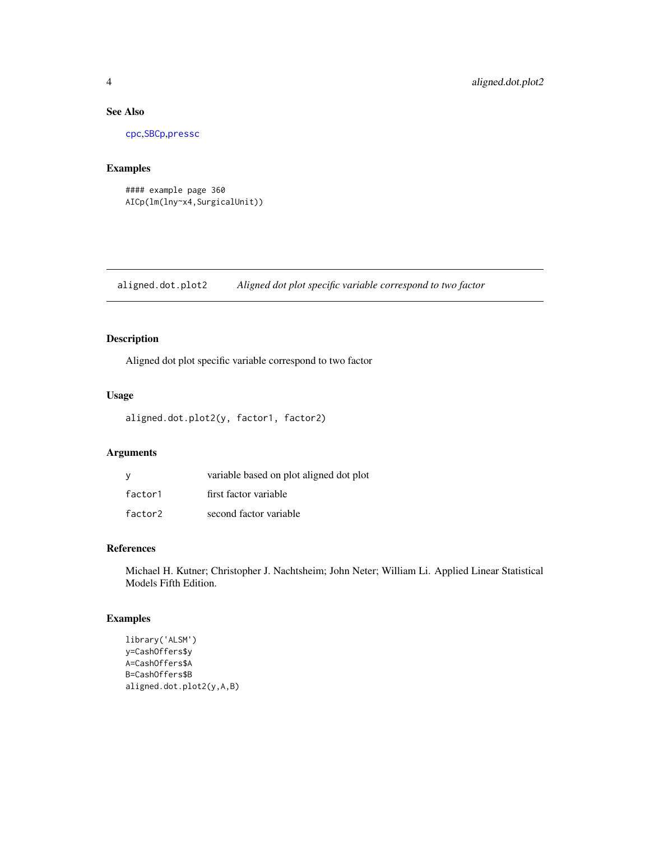# See Also

[cpc](#page-13-1),[SBCp](#page-35-1),[pressc](#page-29-1)

# Examples

#### example page 360 AICp(lm(lny~x4,SurgicalUnit))

aligned.dot.plot2 *Aligned dot plot specific variable correspond to two factor*

# Description

Aligned dot plot specific variable correspond to two factor

### Usage

```
aligned.dot.plot2(y, factor1, factor2)
```
# Arguments

| у       | variable based on plot aligned dot plot |
|---------|-----------------------------------------|
| factor1 | first factor variable                   |
| factor2 | second factor variable                  |

# References

Michael H. Kutner; Christopher J. Nachtsheim; John Neter; William Li. Applied Linear Statistical Models Fifth Edition.

```
library('ALSM')
y=CashOffers$y
A=CashOffers$A
B=CashOffers$B
aligned.dot.plot2(y,A,B)
```
<span id="page-3-0"></span>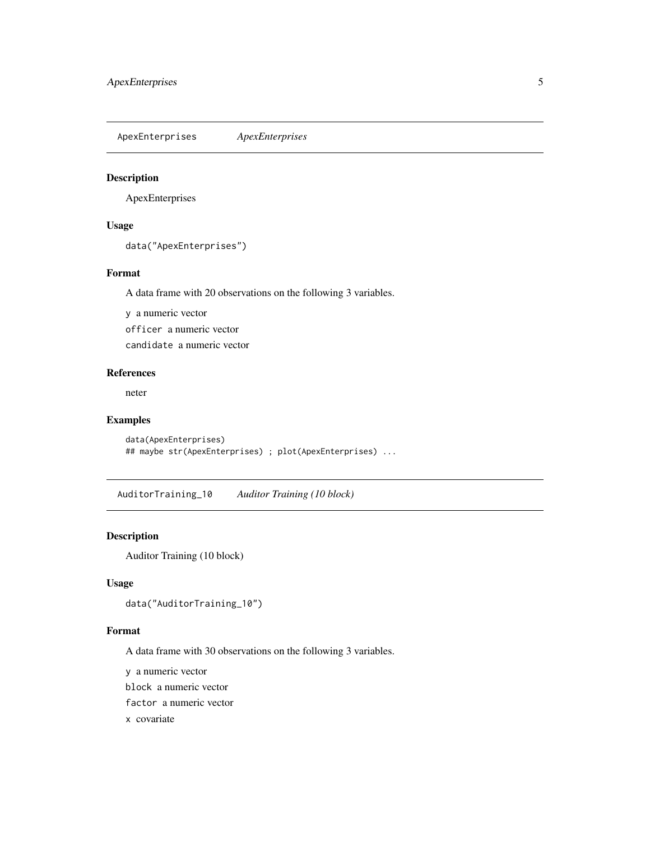<span id="page-4-0"></span>ApexEnterprises *ApexEnterprises*

### Description

ApexEnterprises

#### Usage

data("ApexEnterprises")

# Format

A data frame with 20 observations on the following 3 variables.

y a numeric vector

officer a numeric vector

candidate a numeric vector

# References

neter

# Examples

```
data(ApexEnterprises)
## maybe str(ApexEnterprises) ; plot(ApexEnterprises) ...
```
AuditorTraining\_10 *Auditor Training (10 block)*

### Description

Auditor Training (10 block)

# Usage

```
data("AuditorTraining_10")
```
#### Format

A data frame with 30 observations on the following 3 variables.

y a numeric vector

block a numeric vector

factor a numeric vector

x covariate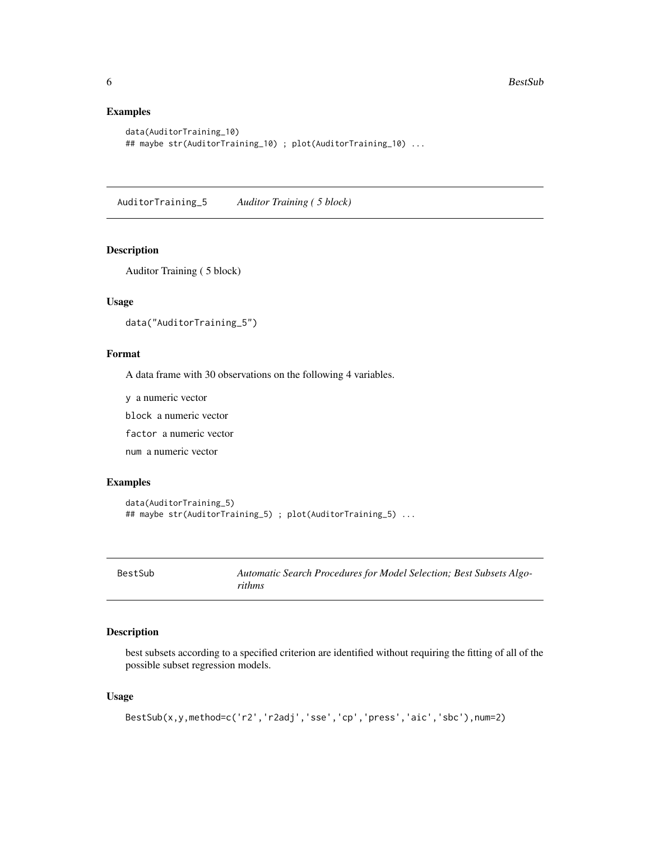# Examples

```
data(AuditorTraining_10)
## maybe str(AuditorTraining_10) ; plot(AuditorTraining_10) ...
```
AuditorTraining\_5 *Auditor Training ( 5 block)*

# Description

Auditor Training ( 5 block)

### Usage

data("AuditorTraining\_5")

# Format

A data frame with 30 observations on the following 4 variables.

y a numeric vector

block a numeric vector

factor a numeric vector

num a numeric vector

#### Examples

```
data(AuditorTraining_5)
## maybe str(AuditorTraining_5) ; plot(AuditorTraining_5) ...
```
BestSub *Automatic Search Procedures for Model Selection; Best Subsets Algorithms*

### Description

best subsets according to a specified criterion are identified without requiring the fitting of all of the possible subset regression models.

# Usage

```
BestSub(x,y,method=c('r2','r2adj','sse','cp','press','aic','sbc'),num=2)
```
<span id="page-5-0"></span>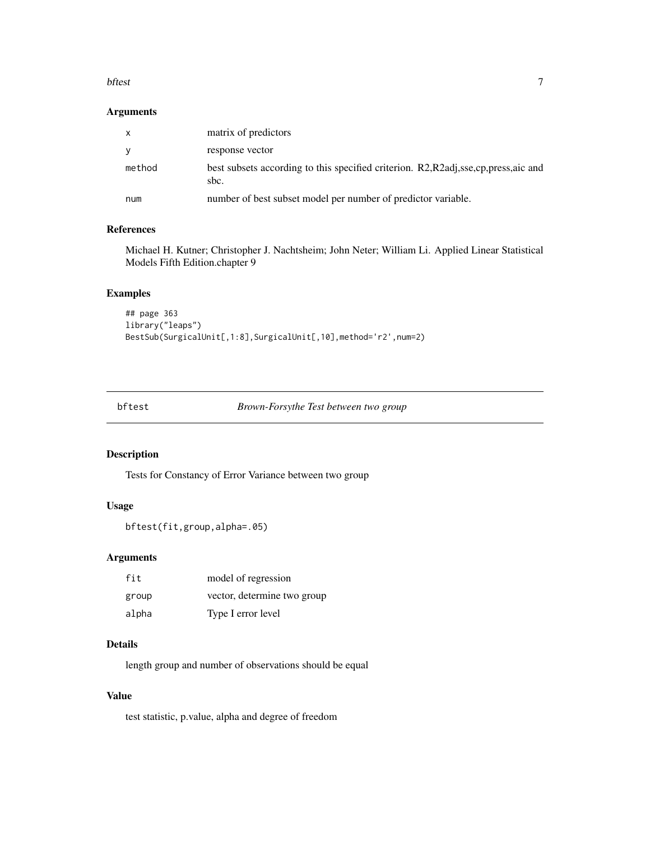#### <span id="page-6-0"></span>bftest 7

### Arguments

| $\mathsf{X}$ | matrix of predictors                                                                           |
|--------------|------------------------------------------------------------------------------------------------|
|              | response vector                                                                                |
| method       | best subsets according to this specified criterion. R2, R2adj, sse, cp, press, aic and<br>sbc. |
| num          | number of best subset model per number of predictor variable.                                  |

# References

Michael H. Kutner; Christopher J. Nachtsheim; John Neter; William Li. Applied Linear Statistical Models Fifth Edition.chapter 9

# Examples

```
## page 363
library("leaps")
BestSub(SurgicalUnit[,1:8],SurgicalUnit[,10],method='r2',num=2)
```

| bftest<br>Brown-Forsythe Test between two group |  |  |
|-------------------------------------------------|--|--|
|-------------------------------------------------|--|--|

# Description

Tests for Constancy of Error Variance between two group

# Usage

```
bftest(fit,group,alpha=.05)
```
### Arguments

| fit   | model of regression         |
|-------|-----------------------------|
| group | vector, determine two group |
| alpha | Type I error level          |

# Details

length group and number of observations should be equal

# Value

test statistic, p.value, alpha and degree of freedom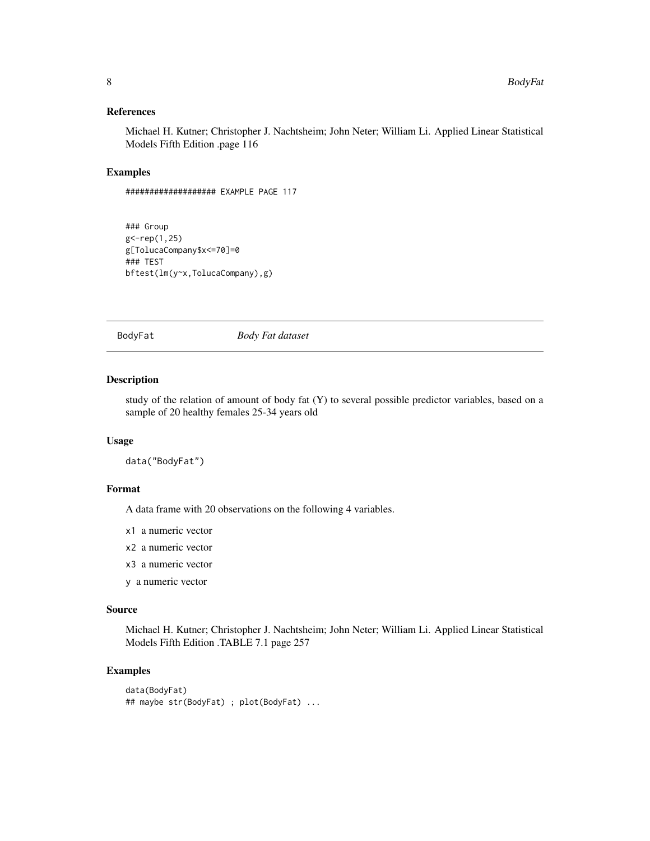# <span id="page-7-0"></span>References

Michael H. Kutner; Christopher J. Nachtsheim; John Neter; William Li. Applied Linear Statistical Models Fifth Edition .page 116

### Examples

```
################### EXAMPLE PAGE 117
```

```
### Group
g<-rep(1,25)
g[TolucaCompany$x<=70]=0
### TEST
bftest(lm(y~x,TolucaCompany),g)
```
BodyFat *Body Fat dataset*

# Description

study of the relation of amount of body fat (Y) to several possible predictor variables, based on a sample of 20 healthy females 25-34 years old

#### Usage

data("BodyFat")

### Format

A data frame with 20 observations on the following 4 variables.

x1 a numeric vector

- x2 a numeric vector
- x3 a numeric vector
- y a numeric vector

### Source

Michael H. Kutner; Christopher J. Nachtsheim; John Neter; William Li. Applied Linear Statistical Models Fifth Edition .TABLE 7.1 page 257

```
data(BodyFat)
## maybe str(BodyFat) ; plot(BodyFat) ...
```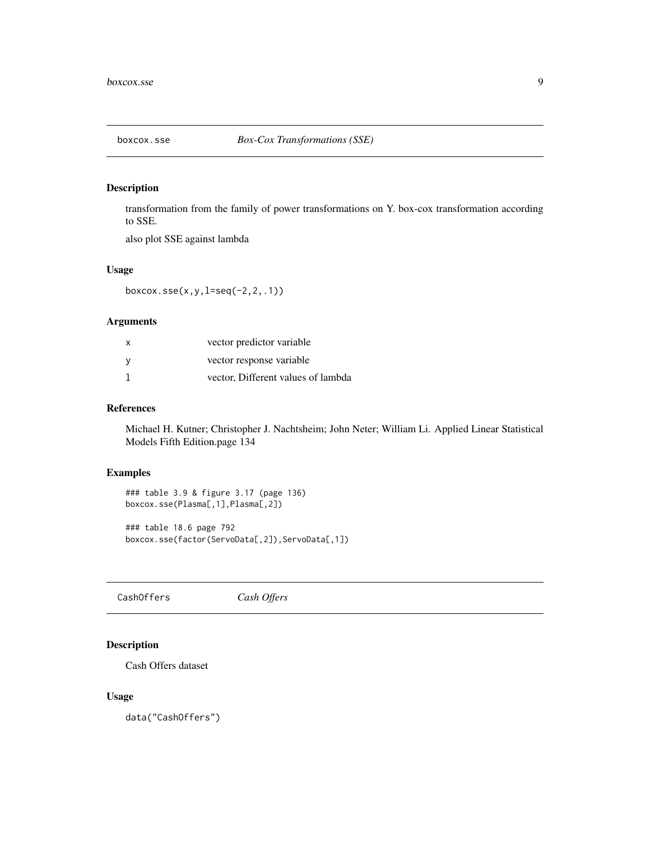<span id="page-8-0"></span>

# Description

transformation from the family of power transformations on Y. box-cox transformation according to SSE.

also plot SSE against lambda

### Usage

boxcox.sse(x,y,l=seq(-2,2,.1))

### Arguments

| x | vector predictor variable          |
|---|------------------------------------|
|   | vector response variable           |
|   | vector, Different values of lambda |

# References

Michael H. Kutner; Christopher J. Nachtsheim; John Neter; William Li. Applied Linear Statistical Models Fifth Edition.page 134

# Examples

```
### table 3.9 & figure 3.17 (page 136)
boxcox.sse(Plasma[,1],Plasma[,2])
```

```
### table 18.6 page 792
boxcox.sse(factor(ServoData[,2]),ServoData[,1])
```
CashOffers *Cash Offers*

### Description

Cash Offers dataset

### Usage

data("CashOffers")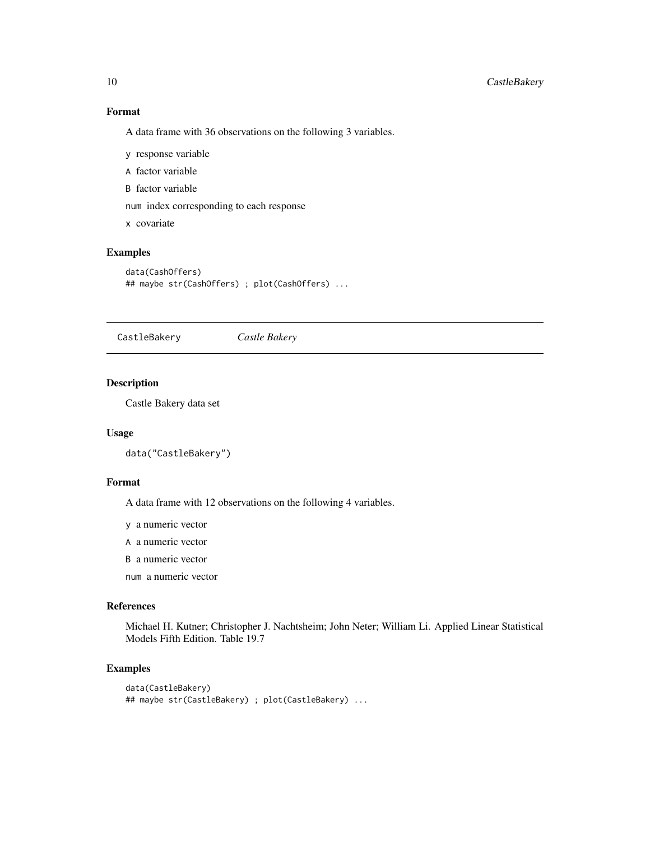# Format

A data frame with 36 observations on the following 3 variables.

- y response variable
- A factor variable
- B factor variable

num index corresponding to each response

x covariate

# Examples

```
data(CashOffers)
## maybe str(CashOffers) ; plot(CashOffers) ...
```
CastleBakery *Castle Bakery*

### Description

Castle Bakery data set

# Usage

data("CastleBakery")

#### Format

A data frame with 12 observations on the following 4 variables.

y a numeric vector

- A a numeric vector
- B a numeric vector

num a numeric vector

#### References

Michael H. Kutner; Christopher J. Nachtsheim; John Neter; William Li. Applied Linear Statistical Models Fifth Edition. Table 19.7

```
data(CastleBakery)
## maybe str(CastleBakery) ; plot(CastleBakery) ...
```
<span id="page-9-0"></span>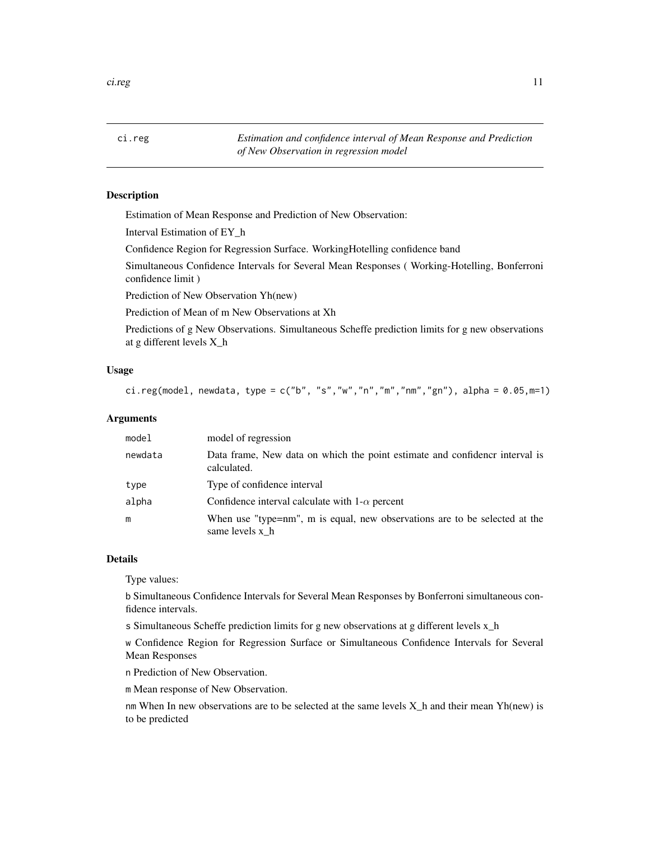<span id="page-10-0"></span>ci.reg *Estimation and confidence interval of Mean Response and Prediction of New Observation in regression model*

### Description

Estimation of Mean Response and Prediction of New Observation:

Interval Estimation of EY\_h

Confidence Region for Regression Surface. WorkingHotelling confidence band

Simultaneous Confidence Intervals for Several Mean Responses ( Working-Hotelling, Bonferroni confidence limit )

Prediction of New Observation Yh(new)

Prediction of Mean of m New Observations at Xh

Predictions of g New Observations. Simultaneous Scheffe prediction limits for g new observations at g different levels X\_h

# Usage

ci.reg(model, newdata, type = c("b", "s","w","n","m","nm","gn"), alpha =  $0.05, m=1$ )

### Arguments

| model   | model of regression                                                                           |
|---------|-----------------------------------------------------------------------------------------------|
| newdata | Data frame, New data on which the point estimate and confidence interval is<br>calculated.    |
| type    | Type of confidence interval                                                                   |
| alpha   | Confidence interval calculate with $1-\alpha$ percent                                         |
| m       | When use "type=nm", m is equal, new observations are to be selected at the<br>same levels x_h |

### Details

Type values:

b Simultaneous Confidence Intervals for Several Mean Responses by Bonferroni simultaneous confidence intervals.

s Simultaneous Scheffe prediction limits for g new observations at g different levels x\_h

w Confidence Region for Regression Surface or Simultaneous Confidence Intervals for Several Mean Responses

n Prediction of New Observation.

m Mean response of New Observation.

nm When In new observations are to be selected at the same levels X\_h and their mean Yh(new) is to be predicted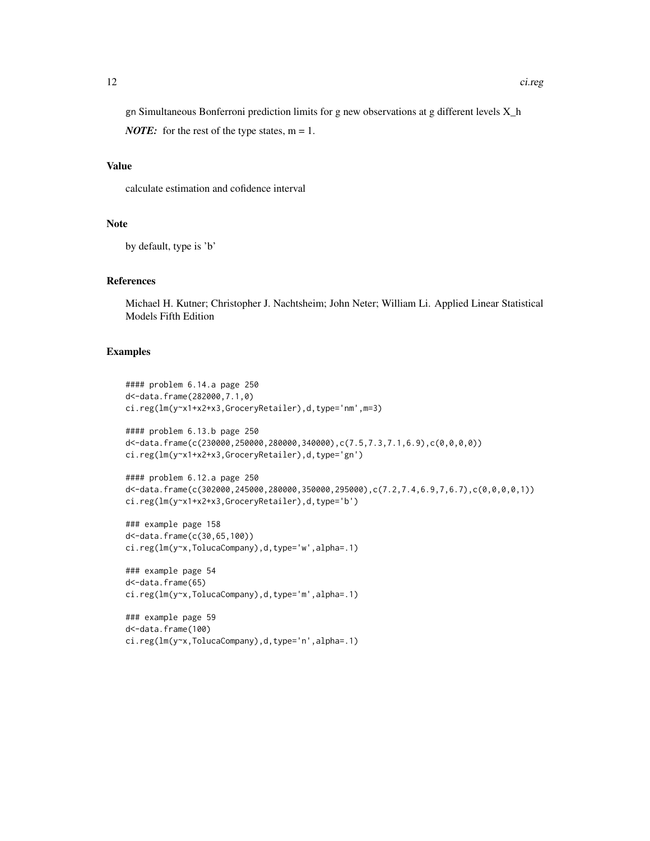gn Simultaneous Bonferroni prediction limits for g new observations at g different levels X\_h

*NOTE:* for the rest of the type states,  $m = 1$ .

# Value

calculate estimation and cofidence interval

### Note

by default, type is 'b'

### References

Michael H. Kutner; Christopher J. Nachtsheim; John Neter; William Li. Applied Linear Statistical Models Fifth Edition

# Examples

```
#### problem 6.14.a page 250
d<-data.frame(282000,7.1,0)
ci.reg(lm(y~x1+x2+x3,GroceryRetailer),d,type='nm',m=3)
#### problem 6.13.b page 250
d<-data.frame(c(230000,250000,280000,340000),c(7.5,7.3,7.1,6.9),c(0,0,0,0))
ci.reg(lm(y~x1+x2+x3,GroceryRetailer),d,type='gn')
#### problem 6.12.a page 250
d<-data.frame(c(302000,245000,280000,350000,295000),c(7.2,7.4,6.9,7,6.7),c(0,0,0,0,1))
ci.reg(lm(y~x1+x2+x3,GroceryRetailer),d,type='b')
### example page 158
d<-data.frame(c(30,65,100))
ci.reg(lm(y~x,TolucaCompany),d,type='w',alpha=.1)
### example page 54
d<-data.frame(65)
ci.reg(lm(y~x,TolucaCompany),d,type='m',alpha=.1)
### example page 59
d<-data.frame(100)
```
ci.reg(lm(y~x,TolucaCompany),d,type='n',alpha=.1)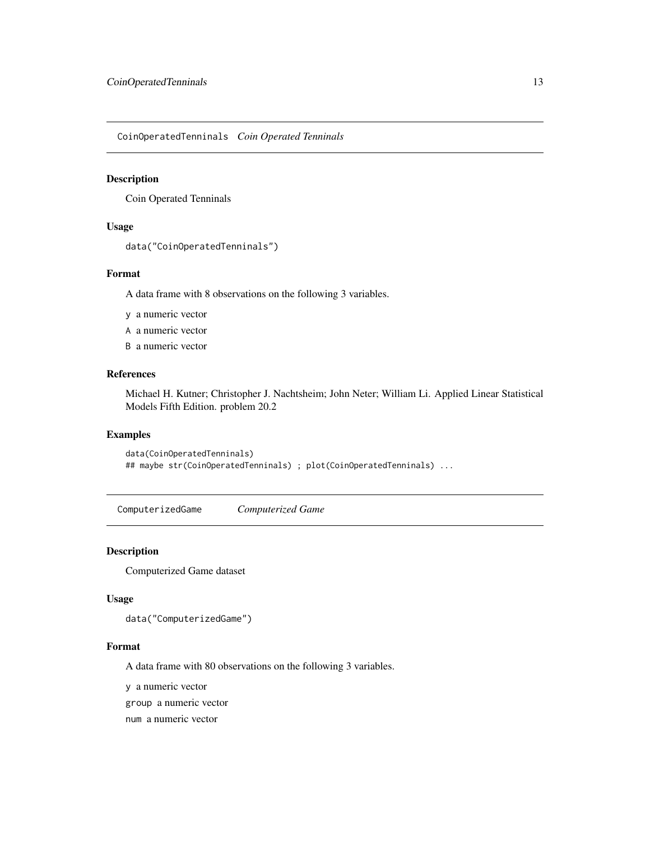<span id="page-12-0"></span>CoinOperatedTenninals *Coin Operated Tenninals*

### Description

Coin Operated Tenninals

#### Usage

```
data("CoinOperatedTenninals")
```
# Format

A data frame with 8 observations on the following 3 variables.

- y a numeric vector
- A a numeric vector
- B a numeric vector

# References

Michael H. Kutner; Christopher J. Nachtsheim; John Neter; William Li. Applied Linear Statistical Models Fifth Edition. problem 20.2

#### Examples

```
data(CoinOperatedTenninals)
## maybe str(CoinOperatedTenninals) ; plot(CoinOperatedTenninals) ...
```
ComputerizedGame *Computerized Game*

#### Description

Computerized Game dataset

#### Usage

```
data("ComputerizedGame")
```
#### Format

A data frame with 80 observations on the following 3 variables.

y a numeric vector

group a numeric vector

num a numeric vector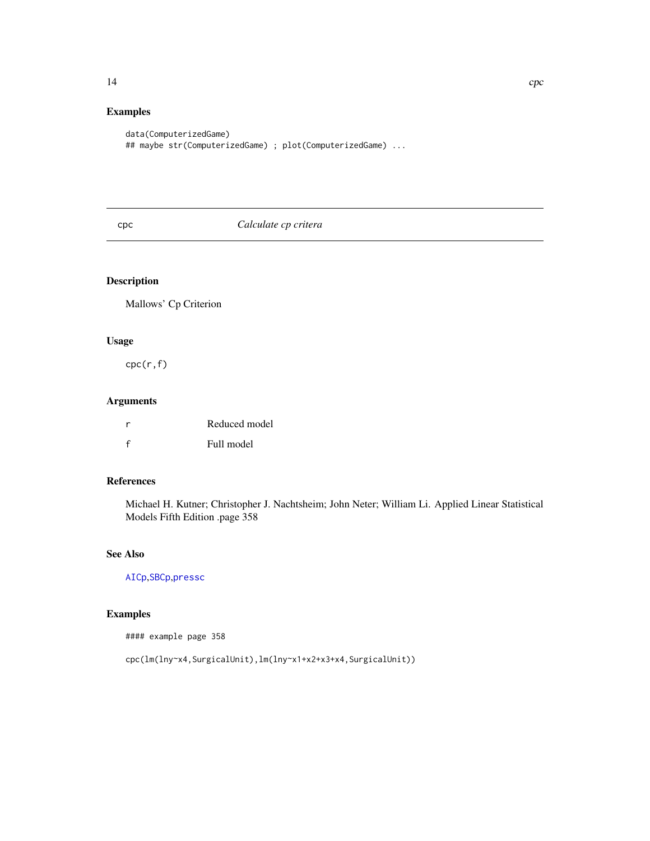# <span id="page-13-0"></span>Examples

```
data(ComputerizedGame)
## maybe str(ComputerizedGame) ; plot(ComputerizedGame) ...
```
# <span id="page-13-1"></span>cpc *Calculate cp critera*

# Description

Mallows' Cp Criterion

### Usage

cpc(r,f)

# Arguments

|              | Reduced model |
|--------------|---------------|
| $\mathbf{f}$ | Full model    |

# References

Michael H. Kutner; Christopher J. Nachtsheim; John Neter; William Li. Applied Linear Statistical Models Fifth Edition .page 358

# See Also

[AICp](#page-2-1),[SBCp](#page-35-1),[pressc](#page-29-1)

# Examples

#### example page 358

cpc(lm(lny~x4,SurgicalUnit),lm(lny~x1+x2+x3+x4,SurgicalUnit))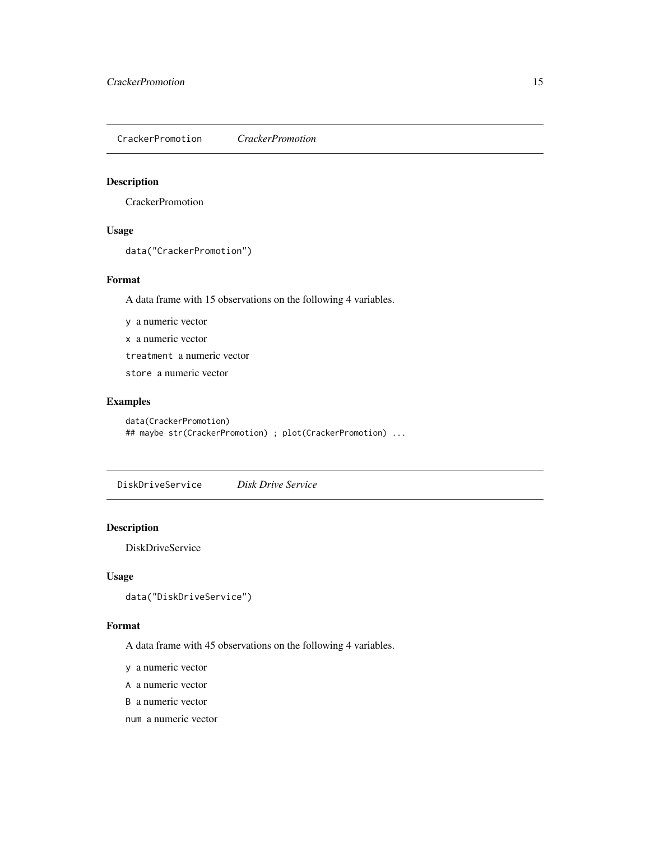<span id="page-14-0"></span>CrackerPromotion *CrackerPromotion*

# Description

**CrackerPromotion** 

# Usage

```
data("CrackerPromotion")
```
# Format

A data frame with 15 observations on the following 4 variables.

y a numeric vector

x a numeric vector

treatment a numeric vector

store a numeric vector

# Examples

data(CrackerPromotion) ## maybe str(CrackerPromotion) ; plot(CrackerPromotion) ...

DiskDriveService *Disk Drive Service*

### Description

DiskDriveService

# Usage

```
data("DiskDriveService")
```
### Format

A data frame with 45 observations on the following 4 variables.

y a numeric vector

A a numeric vector

B a numeric vector

num a numeric vector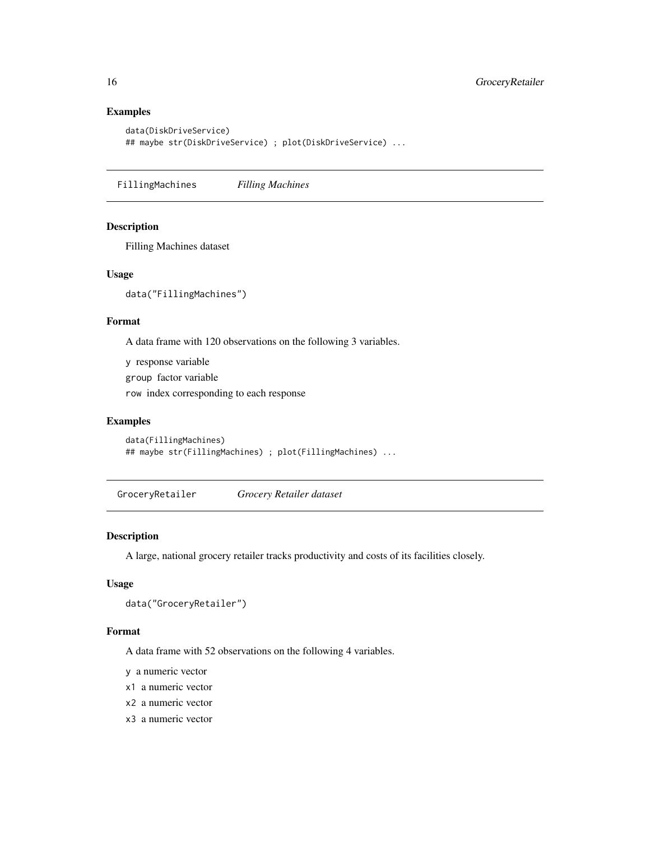# Examples

```
data(DiskDriveService)
## maybe str(DiskDriveService) ; plot(DiskDriveService) ...
```
FillingMachines *Filling Machines*

# Description

Filling Machines dataset

# Usage

data("FillingMachines")

# Format

A data frame with 120 observations on the following 3 variables.

y response variable

group factor variable

row index corresponding to each response

# Examples

```
data(FillingMachines)
## maybe str(FillingMachines) ; plot(FillingMachines) ...
```
GroceryRetailer *Grocery Retailer dataset*

# Description

A large, national grocery retailer tracks productivity and costs of its facilities closely.

# Usage

```
data("GroceryRetailer")
```
# Format

A data frame with 52 observations on the following 4 variables.

y a numeric vector

- x1 a numeric vector
- x2 a numeric vector
- x3 a numeric vector

<span id="page-15-0"></span>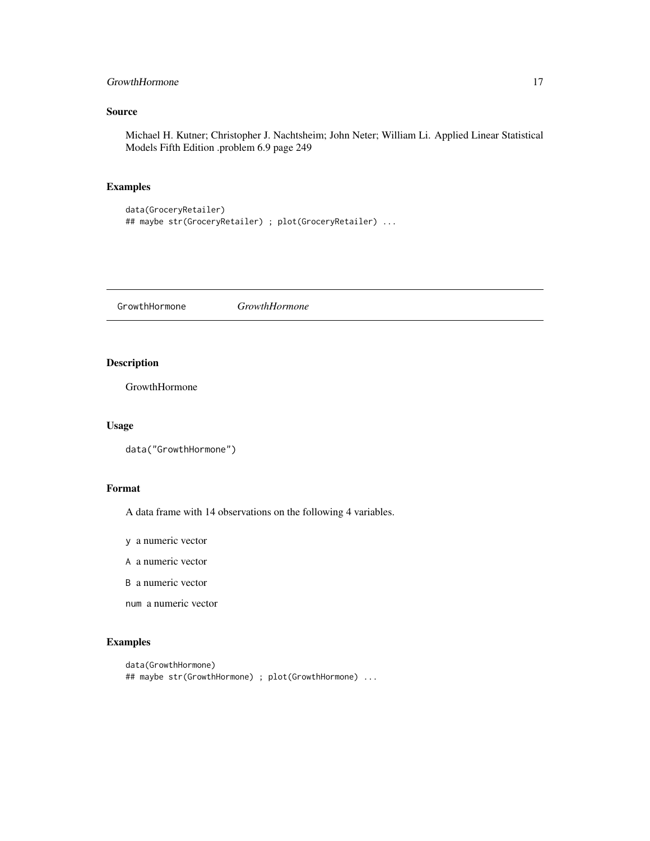# <span id="page-16-0"></span>GrowthHormone 17

# Source

Michael H. Kutner; Christopher J. Nachtsheim; John Neter; William Li. Applied Linear Statistical Models Fifth Edition .problem 6.9 page 249

# Examples

```
data(GroceryRetailer)
## maybe str(GroceryRetailer) ; plot(GroceryRetailer) ...
```
GrowthHormone *GrowthHormone*

# Description

GrowthHormone

### Usage

```
data("GrowthHormone")
```
# Format

A data frame with 14 observations on the following 4 variables.

- y a numeric vector
- A a numeric vector
- B a numeric vector
- num a numeric vector

```
data(GrowthHormone)
## maybe str(GrowthHormone) ; plot(GrowthHormone) ...
```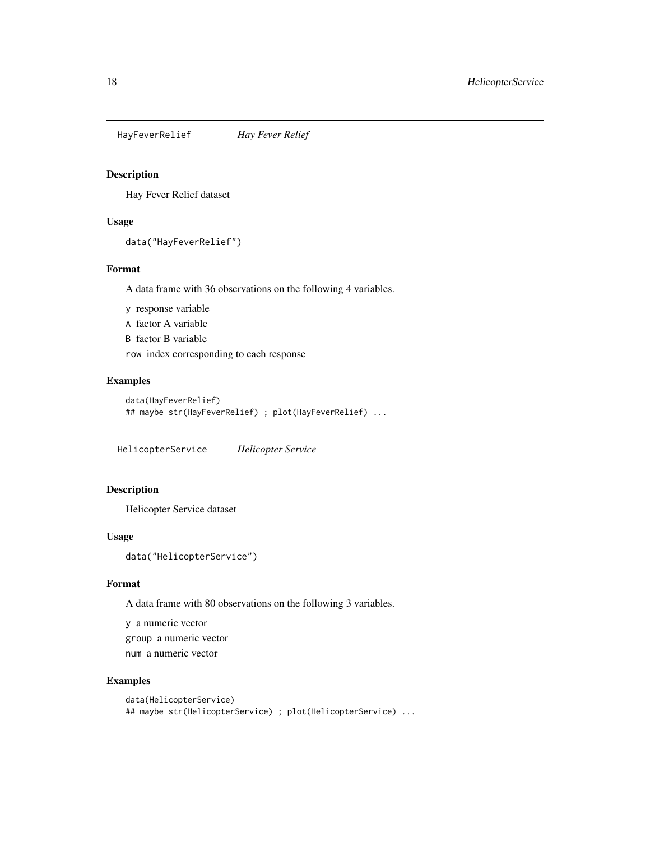<span id="page-17-0"></span>HayFeverRelief *Hay Fever Relief*

# Description

Hay Fever Relief dataset

# Usage

```
data("HayFeverRelief")
```
# Format

A data frame with 36 observations on the following 4 variables.

y response variable

A factor A variable

B factor B variable

row index corresponding to each response

### Examples

```
data(HayFeverRelief)
## maybe str(HayFeverRelief) ; plot(HayFeverRelief) ...
```
HelicopterService *Helicopter Service*

# Description

Helicopter Service dataset

# Usage

data("HelicopterService")

# Format

A data frame with 80 observations on the following 3 variables.

y a numeric vector

group a numeric vector

num a numeric vector

```
data(HelicopterService)
## maybe str(HelicopterService) ; plot(HelicopterService) ...
```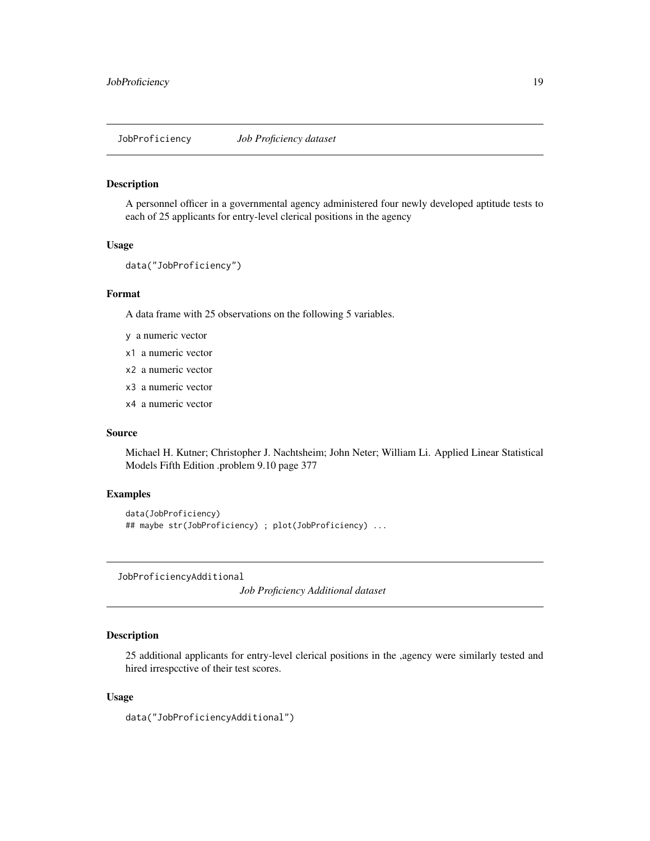<span id="page-18-0"></span>JobProficiency *Job Proficiency dataset*

#### Description

A personnel officer in a governmental agency administered four newly developed aptitude tests to each of 25 applicants for entry-level clerical positions in the agency

### Usage

```
data("JobProficiency")
```
#### Format

A data frame with 25 observations on the following 5 variables.

- y a numeric vector
- x1 a numeric vector
- x2 a numeric vector
- x3 a numeric vector
- x4 a numeric vector

# Source

Michael H. Kutner; Christopher J. Nachtsheim; John Neter; William Li. Applied Linear Statistical Models Fifth Edition .problem 9.10 page 377

### Examples

```
data(JobProficiency)
## maybe str(JobProficiency) ; plot(JobProficiency) ...
```
JobProficiencyAdditional

*Job Proficiency Additional dataset*

### Description

25 additional applicants for entry-level clerical positions in the ,agency were similarly tested and hired irrespcctive of their test scores.

#### Usage

```
data("JobProficiencyAdditional")
```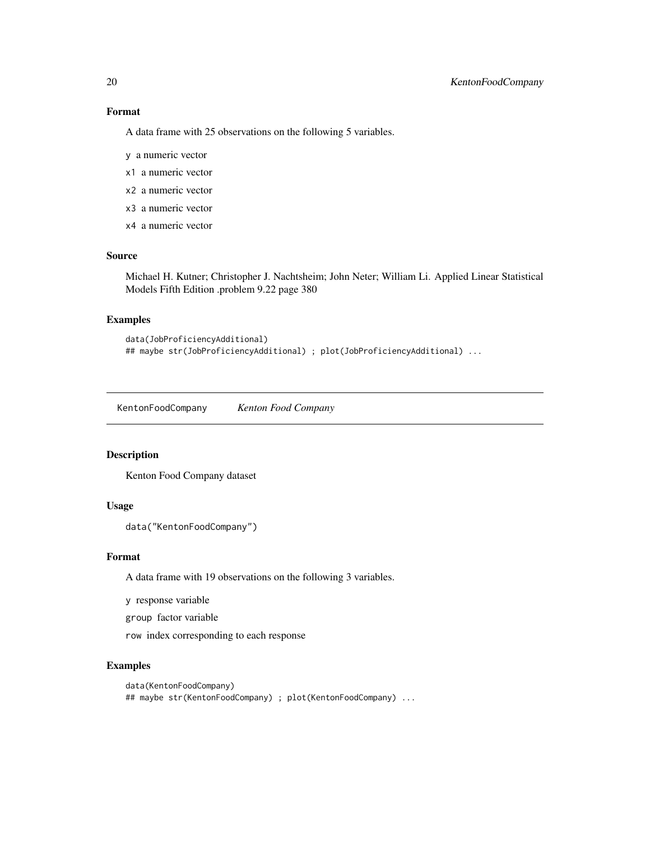# Format

A data frame with 25 observations on the following 5 variables.

- y a numeric vector
- x1 a numeric vector
- x2 a numeric vector
- x3 a numeric vector
- x4 a numeric vector

### Source

Michael H. Kutner; Christopher J. Nachtsheim; John Neter; William Li. Applied Linear Statistical Models Fifth Edition .problem 9.22 page 380

### Examples

```
data(JobProficiencyAdditional)
## maybe str(JobProficiencyAdditional) ; plot(JobProficiencyAdditional) ...
```
KentonFoodCompany *Kenton Food Company*

# Description

Kenton Food Company dataset

### Usage

```
data("KentonFoodCompany")
```
### Format

A data frame with 19 observations on the following 3 variables.

y response variable

group factor variable

row index corresponding to each response

```
data(KentonFoodCompany)
## maybe str(KentonFoodCompany) ; plot(KentonFoodCompany) ...
```
<span id="page-19-0"></span>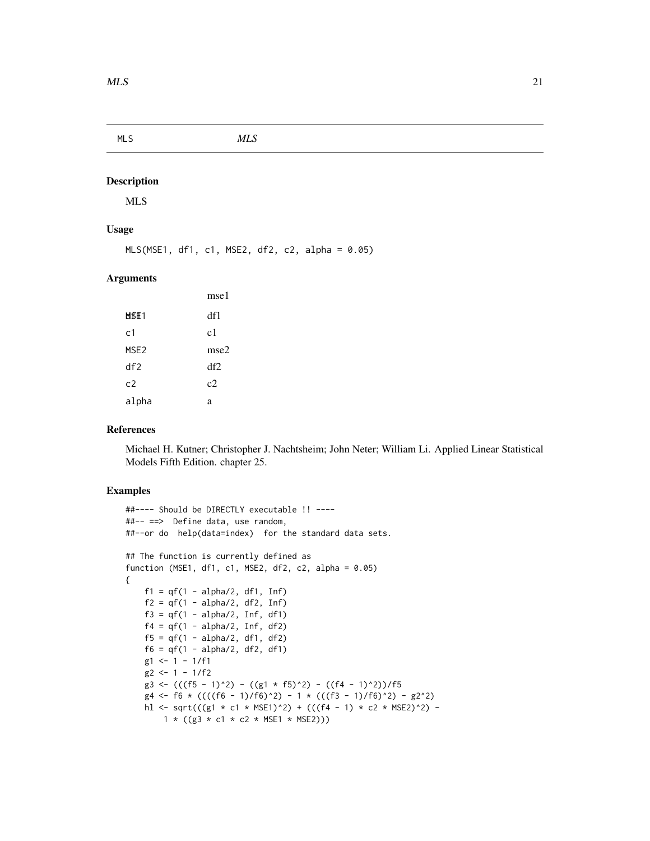<span id="page-20-0"></span>MLS *MLS*

# Description

MLS

# Usage

```
MLS(MSE1, df1, c1, MSE2, df2, c2, alpha = 0.05)
```
### Arguments

|                  | mse1 |
|------------------|------|
| MSE 1            | df1  |
| c1               | c1   |
| MSE <sub>2</sub> | mse2 |
| df2              | df2  |
| c2               | c2   |
| alpha            | a    |

### References

Michael H. Kutner; Christopher J. Nachtsheim; John Neter; William Li. Applied Linear Statistical Models Fifth Edition. chapter 25.

```
##---- Should be DIRECTLY executable !! ----
##-- ==> Define data, use random,
##--or do help(data=index) for the standard data sets.
## The function is currently defined as
function (MSE1, df1, c1, MSE2, df2, c2, alpha = 0.05)
{
    f1 = qf(1 - alpha/2, df1, Inf)f2 = qf(1 - alpha/2, df2, Inf)f3 = qf(1 - alpha/2, Inf, df1)f4 = qf(1 - alpha/2, Inf, df2)f5 = qf(1 - alpha/2, df1, df2)f6 = qf(1 - alpha/2, df2, df1)g1 <- 1 - 1/f1g2 \leftarrow 1 - 1/f2g3 <- (((f5 - 1)^2) - ((g1 * f5)^2) - ((f4 - 1)^2))/f5
   g4 \leftarrow f6 \times ((((f6 - 1)/f6)^2) - 1 \times (((f3 - 1)/f6)^2) - g2^2)hl <- sqrt(((g1 * c1 * MSE1)^2) + (((f4 - 1) * c2 * MSE2)^2) -
       1 * ((g3 * c1 * c2 * MSE1 * MSE2))
```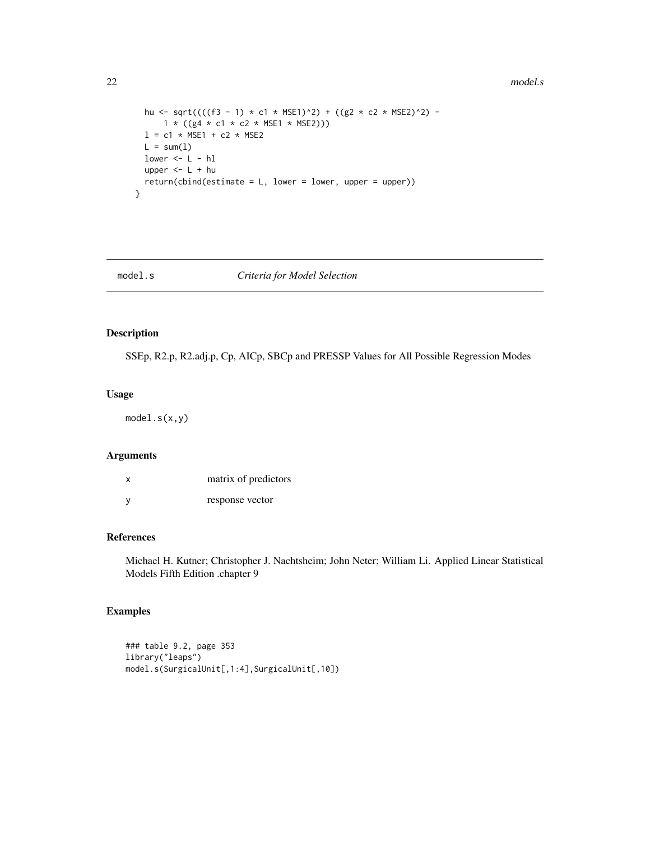#### 22 model.s

```
hu <- sqrt((((f3 - 1) * c1 * MSE1)^2) + ((g2 * c2 * MSE2)^2) -
     1 * ((g4 * c1 * c2 * MSE1 * MSE2))l = c1 * MSE1 + c2 * MSE2
 L = sum(1)lower < - L - h1upper <- L + hu
 return(cbind(estimate = L, lower = lower, upper = upper))}
```
### model.s *Criteria for Model Selection*

# Description

SSEp, R2.p, R2.adj.p, Cp, AICp, SBCp and PRESSP Values for All Possible Regression Modes

#### Usage

model.s(x,y)

# Arguments

| x | matrix of predictors |
|---|----------------------|
| у | response vector      |

# References

Michael H. Kutner; Christopher J. Nachtsheim; John Neter; William Li. Applied Linear Statistical Models Fifth Edition .chapter 9

```
### table 9.2, page 353
library("leaps")
model.s(SurgicalUnit[,1:4],SurgicalUnit[,10])
```
<span id="page-21-0"></span>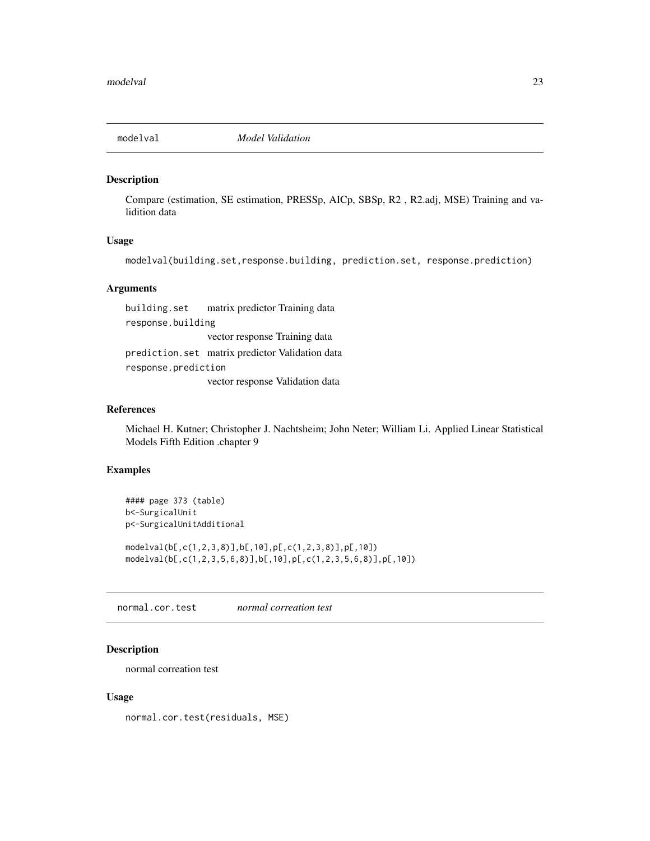<span id="page-22-0"></span>

#### Description

Compare (estimation, SE estimation, PRESSp, AICp, SBSp, R2 , R2.adj, MSE) Training and validition data

### Usage

modelval(building.set,response.building, prediction.set, response.prediction)

#### Arguments

building.set matrix predictor Training data response.building vector response Training data prediction.set matrix predictor Validation data response.prediction vector response Validation data

# References

Michael H. Kutner; Christopher J. Nachtsheim; John Neter; William Li. Applied Linear Statistical Models Fifth Edition .chapter 9

#### Examples

```
#### page 373 (table)
b<-SurgicalUnit
p<-SurgicalUnitAdditional
modelval(b[,c(1,2,3,8)],b[,10],p[,c(1,2,3,8)],p[,10])
```
modelval(b[,c(1,2,3,5,6,8)],b[,10],p[,c(1,2,3,5,6,8)],p[,10])

normal.cor.test *normal correation test*

### Description

normal correation test

#### Usage

normal.cor.test(residuals, MSE)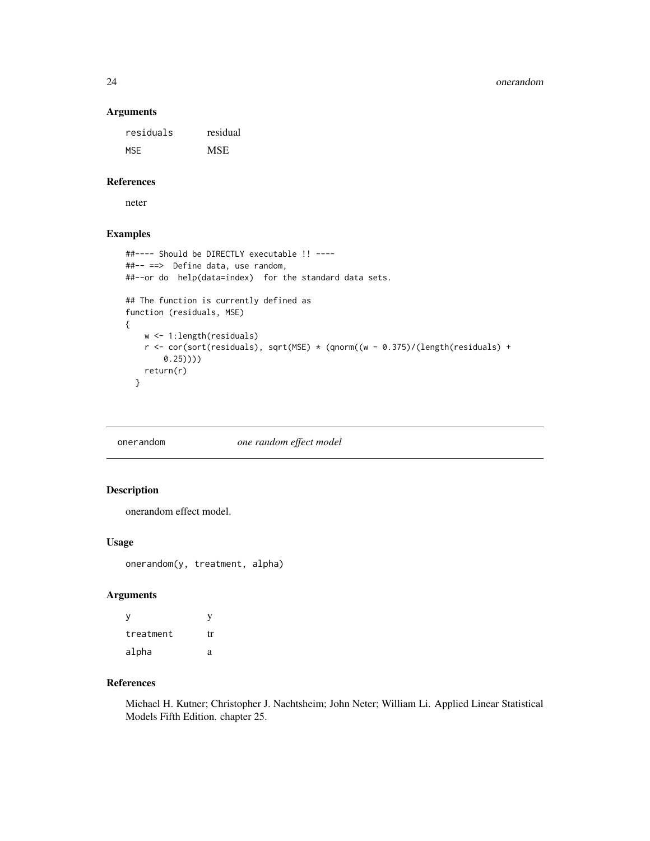### Arguments

residuals residual MSE MSE

### References

neter

# Examples

```
##---- Should be DIRECTLY executable !! ----
##-- ==> Define data, use random,
##--or do help(data=index) for the standard data sets.
## The function is currently defined as
function (residuals, MSE)
{
   w <- 1:length(residuals)
    r <- cor(sort(residuals), sqrt(MSE) * (qnorm((w - 0.375)/(length(residuals) +
       0.25))))
   return(r)
  }
```
onerandom *one random effect model*

# Description

onerandom effect model.

# Usage

onerandom(y, treatment, alpha)

# Arguments

| ٧         | y  |
|-----------|----|
| treatment | tr |
| alpha     | a  |

# References

Michael H. Kutner; Christopher J. Nachtsheim; John Neter; William Li. Applied Linear Statistical Models Fifth Edition. chapter 25.

<span id="page-23-0"></span>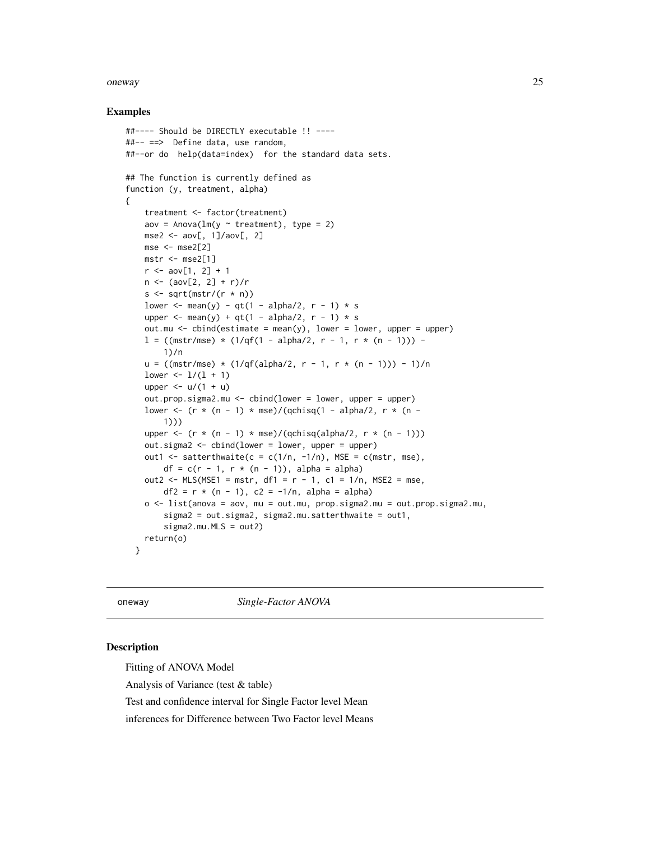#### <span id="page-24-0"></span>oneway 25

#### Examples

```
##---- Should be DIRECTLY executable !! ----
##-- ==> Define data, use random,
##--or do help(data=index) for the standard data sets.
## The function is currently defined as
function (y, treatment, alpha)
{
    treatment <- factor(treatment)
    aov = Anova(\text{lm}(y \sim \text{treatment}), \text{type} = 2)mse2 \leq - aov[, 1]/aov[, 2]mse < - mse2[2]
   mstr < - mse2[1]r < - aov[1, 2] + 1n \leq -(\text{aov}[2, 2] + r)/rs \leq sqrt(mstr/(r \star n))
    lower <- mean(y) - qt(1 - alpha/2, r - 1) * s
    upper \leq mean(y) + qt(1 - alpha/2, r - 1) * s
    out.mu <- cbind(estimate = mean(y), lower = lower, upper = upper)
   l = ((\text{mstr/mse}) * (1/qf(1 - alpha/2, r - 1, r * (n - 1))) -1)/n
    u = ((mstr/mse) * (1/qf(alpha/2, r - 1, r * (n - 1))) - 1)/nlower \leftarrow 1/(1 + 1)
    upper \le - u/(1 + u)
    out.prop.sigma2.mu <- cbind(lower = lower, upper = upper)
    lower <- (r * (n - 1) * mse)/(qchisq(1 - alpha/2, r * (n -1)))
    upper <- (r * (n - 1) * mse)/(qchisq(alpha/2, r * (n - 1)))out.sigma2 <- cbind(lower = lower, upper = upper)
    out1 <- satterthwaite(c = c(1/n, -1/n), MSE = c(mstr, mse),
        df = c(r - 1, r * (n - 1)), alpha = alpha)
    out2 <- MLS(MSE1 = mstr, df1 = r - 1, c1 = 1/n, MSE2 = mse,df2 = r * (n - 1), c2 = -1/n, alpha = alpha)
    o <- list(anova = aov, mu = out.mu, prop.sigma2.mu = out.prop.sigma2.mu,
        sigma2 = out.sigma2, sigma2.mu.satterthwaite = out1,
        sigma2.mu.MLS = out2)
    return(o)
 }
```
oneway *Single-Factor ANOVA*

### Description

Fitting of ANOVA Model

Analysis of Variance (test & table)

Test and confidence interval for Single Factor level Mean

inferences for Difference between Two Factor level Means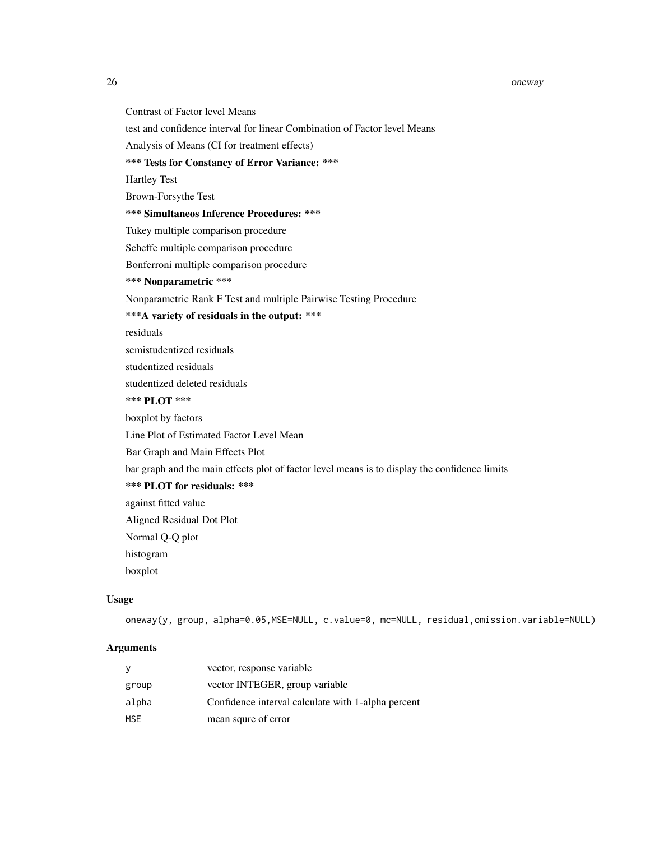#### 26 oneway and the contract of the contract of the contract of the contract of the contract of the contract of the contract of the contract of the contract of the contract of the contract of the contract of the contract of

Contrast of Factor level Means

test and confidence interval for linear Combination of Factor level Means

Analysis of Means (CI for treatment effects)

\*\*\* Tests for Constancy of Error Variance: \*\*\*

Hartley Test

Brown-Forsythe Test

\*\*\* Simultaneos Inference Procedures: \*\*\*

Tukey multiple comparison procedure

Scheffe multiple comparison procedure

Bonferroni multiple comparison procedure

\*\*\* Nonparametric \*\*\*

Nonparametric Rank F Test and multiple Pairwise Testing Procedure

\*\*\*A variety of residuals in the output: \*\*\*

residuals

semistudentized residuals

studentized residuals

studentized deleted residuals

# \*\*\* PLOT \*\*\*

boxplot by factors

Line Plot of Estimated Factor Level Mean

Bar Graph and Main Effects Plot

bar graph and the main etfects plot of factor level means is to display the confidence limits

\*\*\* PLOT for residuals: \*\*\*

against fitted value

Aligned Residual Dot Plot

Normal Q-Q plot

histogram

boxplot

### Usage

oneway(y, group, alpha=0.05,MSE=NULL, c.value=0, mc=NULL, residual,omission.variable=NULL)

# Arguments

| у     | vector, response variable                          |
|-------|----------------------------------------------------|
| group | vector INTEGER, group variable                     |
| alpha | Confidence interval calculate with 1-alpha percent |
| MSE   | mean squre of error                                |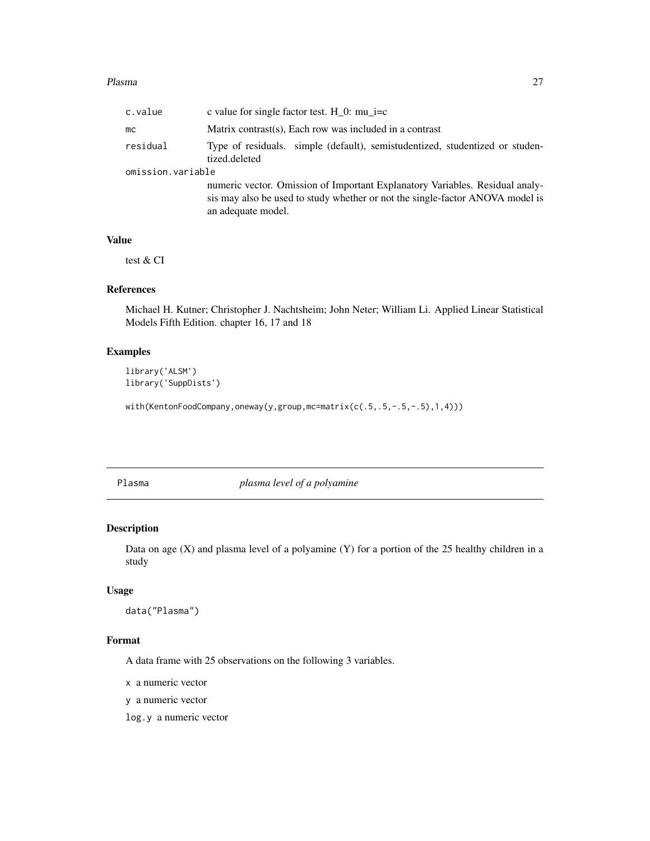#### <span id="page-26-0"></span>Plasma 27

| c.value           | c value for single factor test. H $\,$ 0: mu $\,$ i=c                                                                                                                               |
|-------------------|-------------------------------------------------------------------------------------------------------------------------------------------------------------------------------------|
| mc.               | Matrix contrast(s), Each row was included in a contrast                                                                                                                             |
| residual          | Type of residuals. simple (default), semistudentized, studentized or studen-<br>tized.deleted                                                                                       |
| omission.variable |                                                                                                                                                                                     |
|                   | numeric vector. Omission of Important Explanatory Variables. Residual analy-<br>sis may also be used to study whether or not the single-factor ANOVA model is<br>an adequate model. |

# Value

test & CI

# References

Michael H. Kutner; Christopher J. Nachtsheim; John Neter; William Li. Applied Linear Statistical Models Fifth Edition. chapter 16, 17 and 18

# Examples

library('ALSM') library('SuppDists')

with(KentonFoodCompany,oneway(y,group,mc=matrix(c(.5,.5,-.5,-.5),1,4)))

Plasma *plasma level of a polyamine*

# Description

Data on age  $(X)$  and plasma level of a polyamine  $(Y)$  for a portion of the 25 healthy children in a study

# Usage

```
data("Plasma")
```
# Format

A data frame with 25 observations on the following 3 variables.

x a numeric vector

y a numeric vector

log.y a numeric vector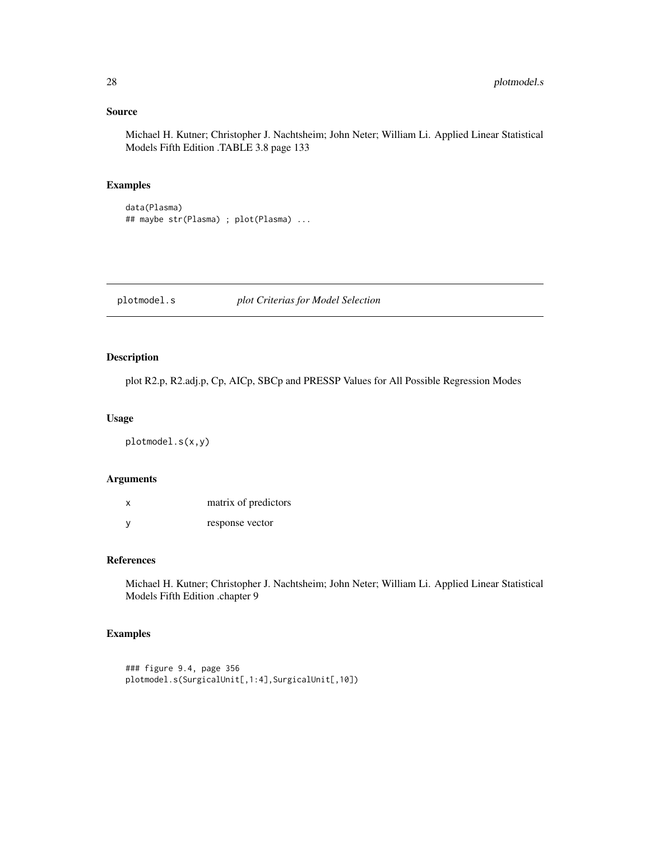# Source

Michael H. Kutner; Christopher J. Nachtsheim; John Neter; William Li. Applied Linear Statistical Models Fifth Edition .TABLE 3.8 page 133

### Examples

```
data(Plasma)
## maybe str(Plasma) ; plot(Plasma) ...
```
plotmodel.s *plot Criterias for Model Selection*

# Description

plot R2.p, R2.adj.p, Cp, AICp, SBCp and PRESSP Values for All Possible Regression Modes

#### Usage

plotmodel.s(x,y)

### Arguments

| X | matrix of predictors |
|---|----------------------|
| У | response vector      |

# References

Michael H. Kutner; Christopher J. Nachtsheim; John Neter; William Li. Applied Linear Statistical Models Fifth Edition .chapter 9

```
### figure 9.4, page 356
plotmodel.s(SurgicalUnit[,1:4],SurgicalUnit[,10])
```
<span id="page-27-0"></span>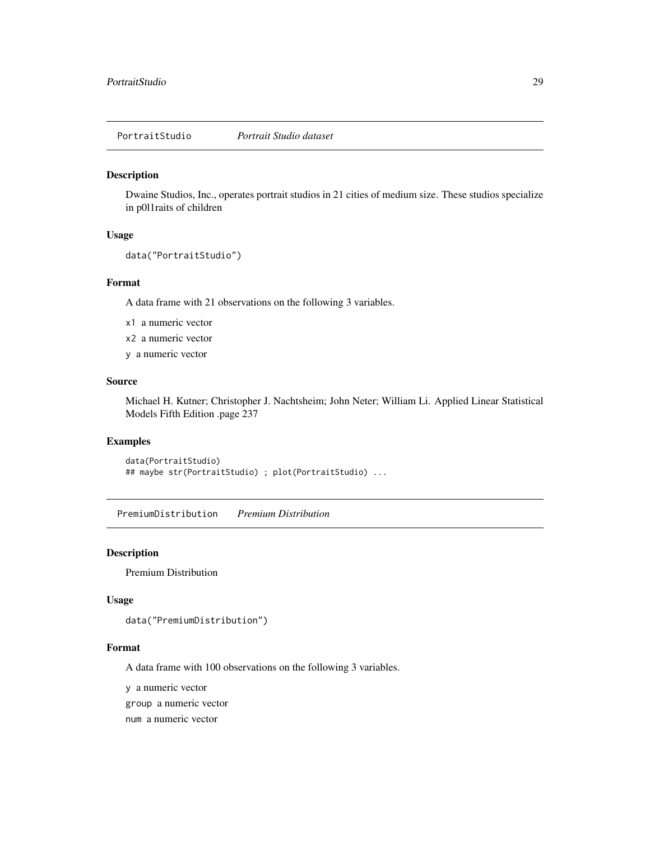<span id="page-28-0"></span>PortraitStudio *Portrait Studio dataset*

### Description

Dwaine Studios, Inc., operates portrait studios in 21 cities of medium size. These studios specialize in p0l1raits of children

#### Usage

```
data("PortraitStudio")
```
#### Format

A data frame with 21 observations on the following 3 variables.

x1 a numeric vector

x2 a numeric vector

y a numeric vector

#### Source

Michael H. Kutner; Christopher J. Nachtsheim; John Neter; William Li. Applied Linear Statistical Models Fifth Edition .page 237

#### Examples

```
data(PortraitStudio)
## maybe str(PortraitStudio) ; plot(PortraitStudio) ...
```
PremiumDistribution *Premium Distribution*

#### Description

Premium Distribution

#### Usage

```
data("PremiumDistribution")
```
### Format

A data frame with 100 observations on the following 3 variables.

y a numeric vector

group a numeric vector

num a numeric vector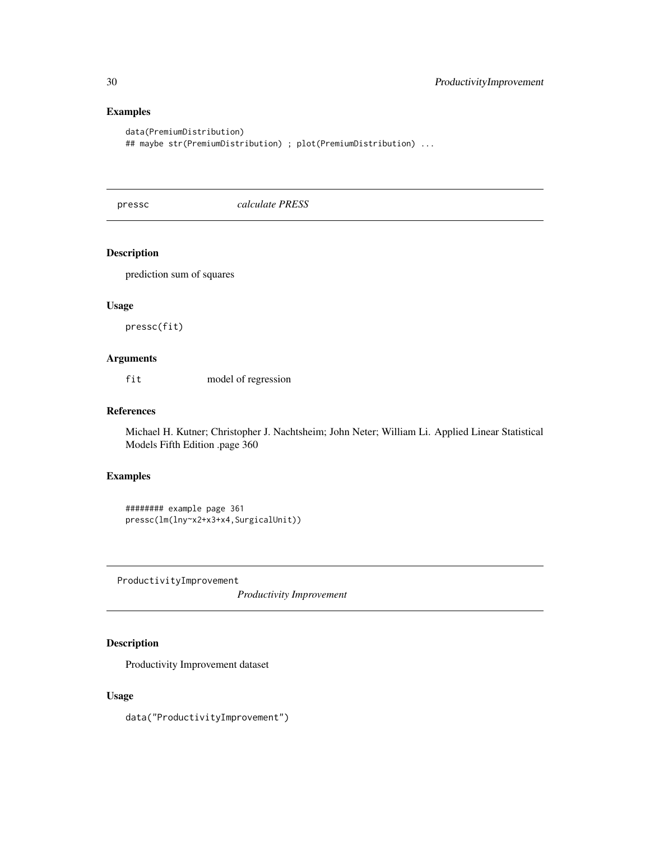# Examples

```
data(PremiumDistribution)
## maybe str(PremiumDistribution) ; plot(PremiumDistribution) ...
```
<span id="page-29-1"></span>pressc *calculate PRESS*

# Description

prediction sum of squares

# Usage

pressc(fit)

### Arguments

fit model of regression

# References

Michael H. Kutner; Christopher J. Nachtsheim; John Neter; William Li. Applied Linear Statistical Models Fifth Edition .page 360

# Examples

```
######## example page 361
pressc(lm(lny~x2+x3+x4,SurgicalUnit))
```
ProductivityImprovement

*Productivity Improvement*

# Description

Productivity Improvement dataset

# Usage

data("ProductivityImprovement")

<span id="page-29-0"></span>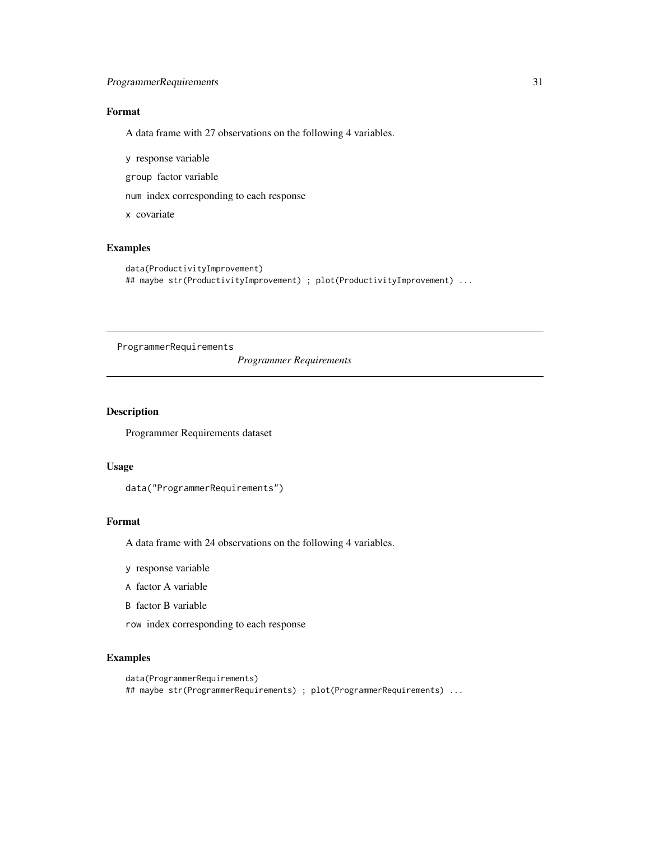# <span id="page-30-0"></span>ProgrammerRequirements 31

# Format

A data frame with 27 observations on the following 4 variables.

y response variable

group factor variable

num index corresponding to each response

x covariate

# Examples

```
data(ProductivityImprovement)
## maybe str(ProductivityImprovement) ; plot(ProductivityImprovement) ...
```
ProgrammerRequirements

*Programmer Requirements*

### Description

Programmer Requirements dataset

### Usage

```
data("ProgrammerRequirements")
```
## Format

A data frame with 24 observations on the following 4 variables.

- y response variable
- A factor A variable
- B factor B variable
- row index corresponding to each response

```
data(ProgrammerRequirements)
## maybe str(ProgrammerRequirements) ; plot(ProgrammerRequirements) ...
```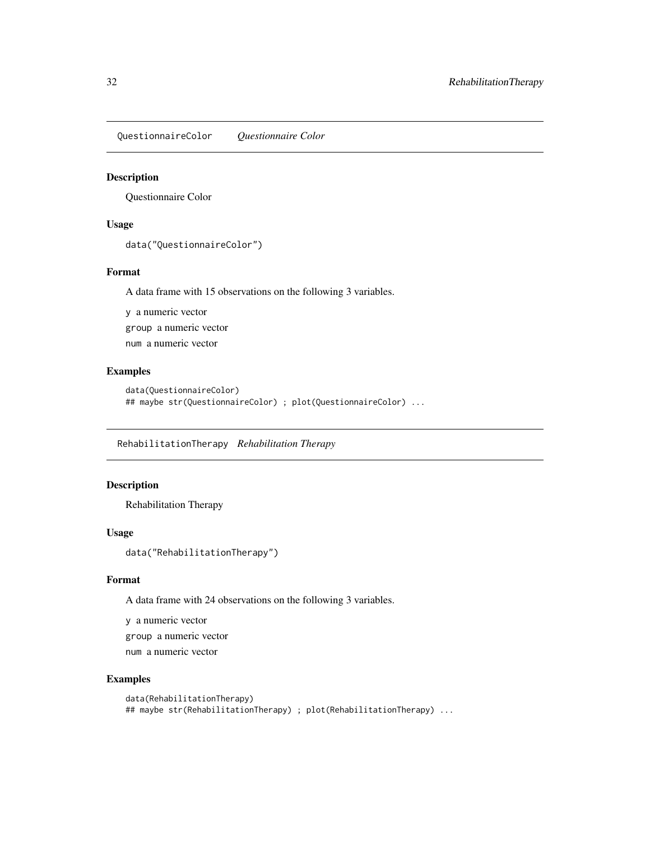<span id="page-31-0"></span>QuestionnaireColor *Questionnaire Color*

### Description

Questionnaire Color

#### Usage

data("QuestionnaireColor")

#### Format

A data frame with 15 observations on the following 3 variables.

y a numeric vector group a numeric vector num a numeric vector

### Examples

```
data(QuestionnaireColor)
## maybe str(QuestionnaireColor) ; plot(QuestionnaireColor) ...
```
RehabilitationTherapy *Rehabilitation Therapy*

# Description

Rehabilitation Therapy

#### Usage

data("RehabilitationTherapy")

### Format

A data frame with 24 observations on the following 3 variables.

y a numeric vector

group a numeric vector

num a numeric vector

```
data(RehabilitationTherapy)
## maybe str(RehabilitationTherapy) ; plot(RehabilitationTherapy) ...
```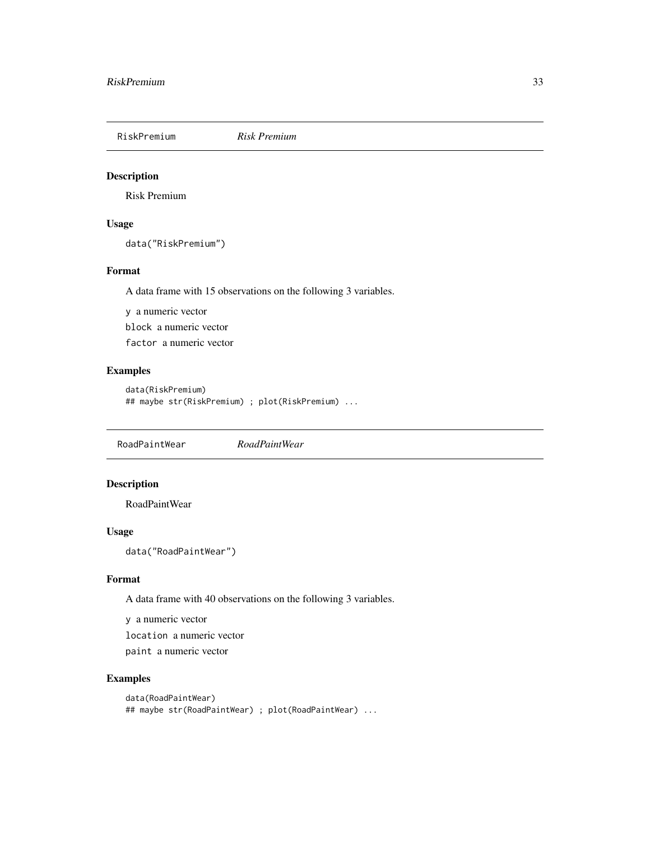<span id="page-32-0"></span>

# Description

Risk Premium

# Usage

data("RiskPremium")

# Format

A data frame with 15 observations on the following 3 variables.

y a numeric vector block a numeric vector factor a numeric vector

# Examples

```
data(RiskPremium)
## maybe str(RiskPremium) ; plot(RiskPremium) ...
```
RoadPaintWear *RoadPaintWear*

# Description

RoadPaintWear

# Usage

data("RoadPaintWear")

# Format

A data frame with 40 observations on the following 3 variables.

y a numeric vector location a numeric vector

paint a numeric vector

```
data(RoadPaintWear)
## maybe str(RoadPaintWear) ; plot(RoadPaintWear) ...
```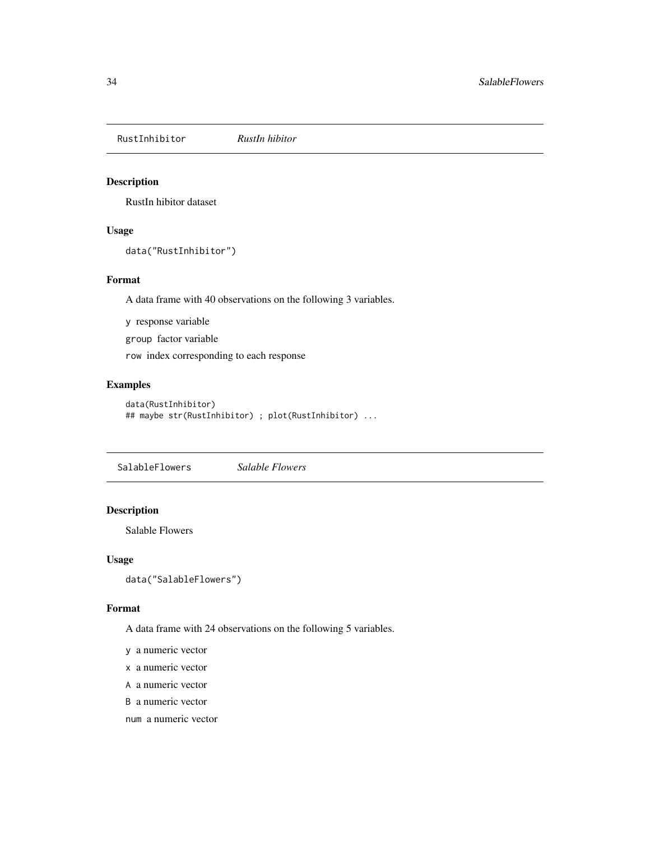<span id="page-33-0"></span>RustInhibitor *RustIn hibitor*

# Description

RustIn hibitor dataset

# Usage

```
data("RustInhibitor")
```
### Format

A data frame with 40 observations on the following 3 variables.

y response variable

group factor variable

row index corresponding to each response

# Examples

```
data(RustInhibitor)
## maybe str(RustInhibitor) ; plot(RustInhibitor) ...
```
SalableFlowers *Salable Flowers*

# Description

Salable Flowers

### Usage

```
data("SalableFlowers")
```
### Format

A data frame with 24 observations on the following 5 variables.

y a numeric vector

- x a numeric vector
- A a numeric vector

B a numeric vector

num a numeric vector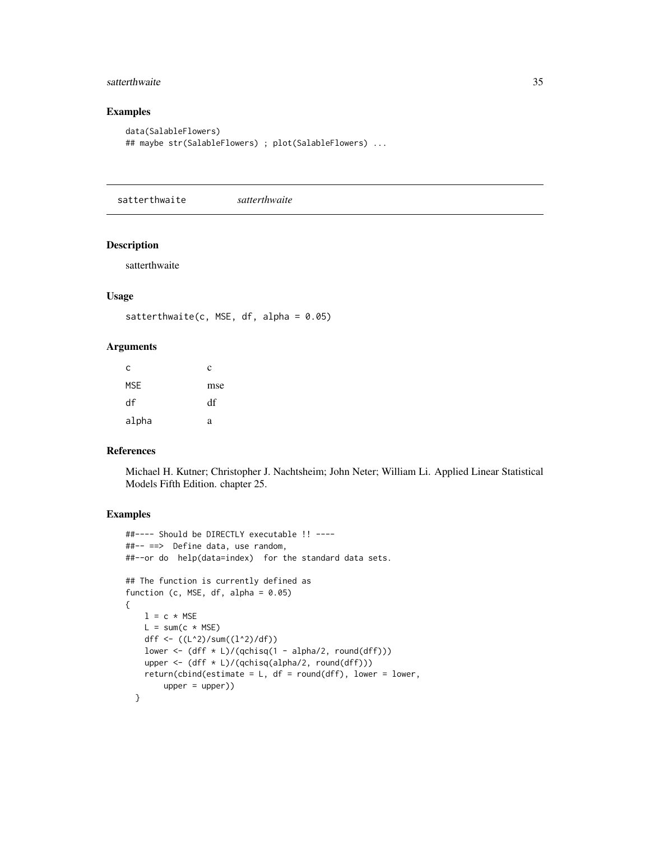# <span id="page-34-0"></span>satterthwaite 35

# Examples

```
data(SalableFlowers)
## maybe str(SalableFlowers) ; plot(SalableFlowers) ...
```
satterthwaite *satterthwaite*

### Description

satterthwaite

### Usage

```
satterthwaite(c, MSE, df, alpha = 0.05)
```
# Arguments

| с     | c   |
|-------|-----|
| MSE   | mse |
| df    | df  |
| alpha | a   |

#### References

Michael H. Kutner; Christopher J. Nachtsheim; John Neter; William Li. Applied Linear Statistical Models Fifth Edition. chapter 25.

```
##---- Should be DIRECTLY executable !! ----
##-- ==> Define data, use random,
##--or do help(data=index) for the standard data sets.
## The function is currently defined as
function (c, MSE, df, alpha = 0.05)
{
   l = c * MSEL = sum(c * MSE)dff <- ((L^2)/sum((L^2)/df))lower <- (dff * L)/(qchisq(1 - alpha/2, round(dff)))upper <- (dff * L)/(qchisq(alpha/2, round(dff)))
   return(cbind(estimate = L, df = round(dff), lower = lower,
       upper = upper)}
```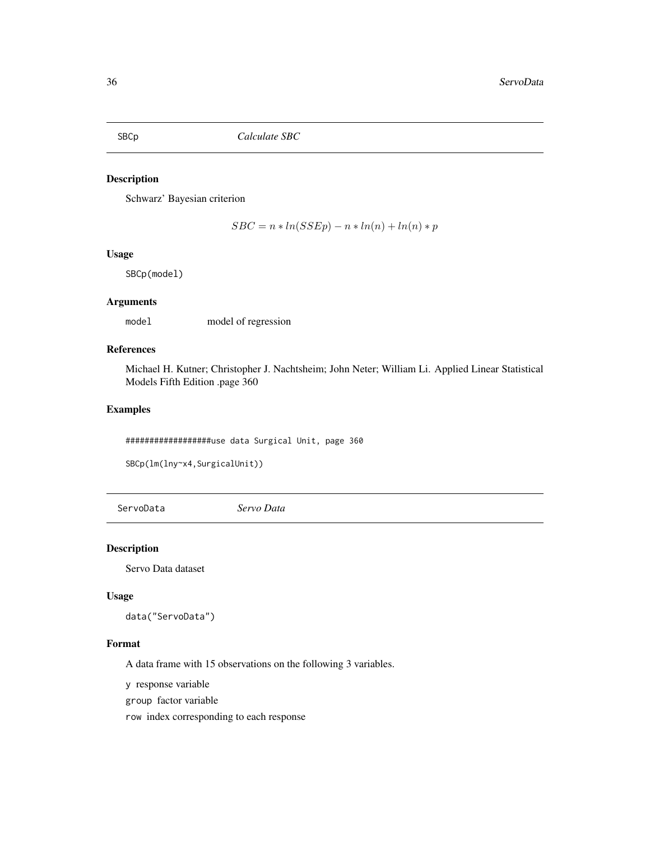<span id="page-35-1"></span><span id="page-35-0"></span>

## Description

Schwarz' Bayesian criterion

 $SBC = n * ln(SSEp) - n * ln(n) + ln(n) * p$ 

### Usage

SBCp(model)

### Arguments

model model of regression

### References

Michael H. Kutner; Christopher J. Nachtsheim; John Neter; William Li. Applied Linear Statistical Models Fifth Edition .page 360

# Examples

##################use data Surgical Unit, page 360

```
SBCp(lm(lny~x4,SurgicalUnit))
```
ServoData *Servo Data*

Description

Servo Data dataset

### Usage

data("ServoData")

#### Format

A data frame with 15 observations on the following 3 variables.

y response variable

group factor variable

row index corresponding to each response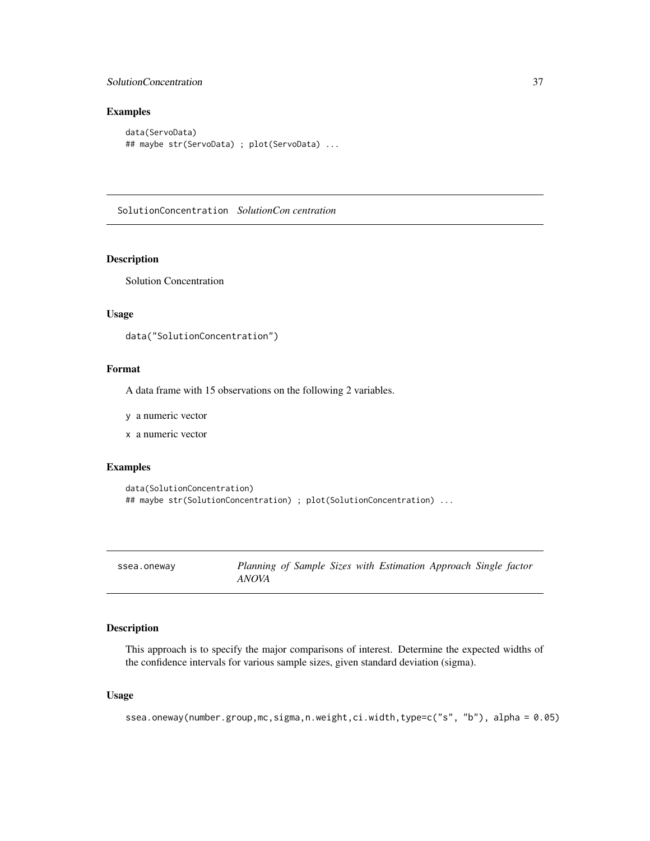# <span id="page-36-0"></span>SolutionConcentration 37

# Examples

```
data(ServoData)
## maybe str(ServoData) ; plot(ServoData) ...
```
SolutionConcentration *SolutionCon centration*

# Description

Solution Concentration

# Usage

```
data("SolutionConcentration")
```
### Format

A data frame with 15 observations on the following 2 variables.

y a numeric vector

x a numeric vector

# Examples

```
data(SolutionConcentration)
## maybe str(SolutionConcentration) ; plot(SolutionConcentration) ...
```

| ssea.oneway | Plan |
|-------------|------|
|             |      |

```
ssea.oneway Planning of Sample Sizes with Estimation Approach Single factor
ANOVA
```
### Description

This approach is to specify the major comparisons of interest. Determine the expected widths of the confidence intervals for various sample sizes, given standard deviation (sigma).

# Usage

ssea.oneway(number.group,mc,sigma,n.weight,ci.width,type=c("s", "b"), alpha = 0.05)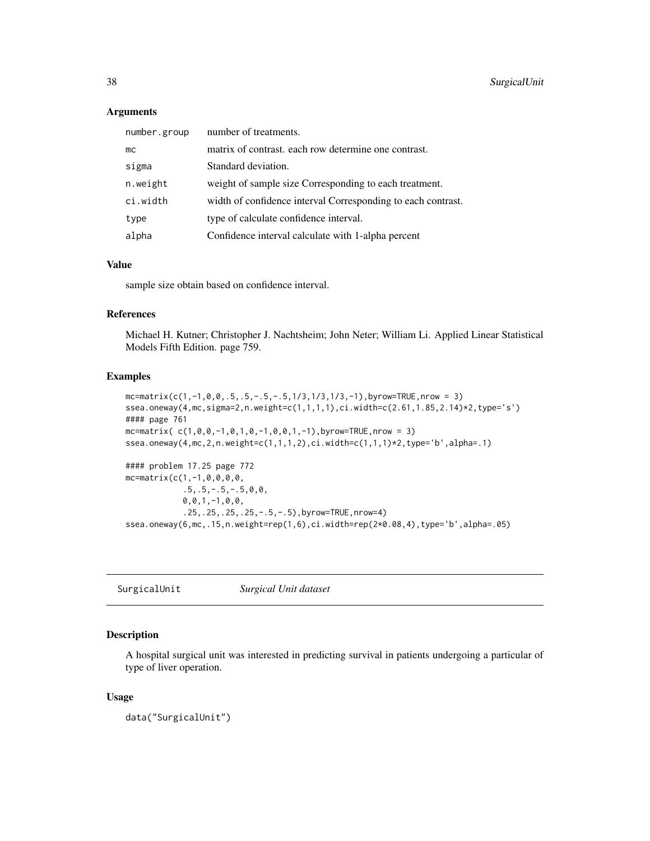### Arguments

| number.group | number of treatments.                                        |
|--------------|--------------------------------------------------------------|
| mc           | matrix of contrast, each row determine one contrast.         |
| sigma        | Standard deviation.                                          |
| n.weight     | weight of sample size Corresponding to each treatment.       |
| ci.width     | width of confidence interval Corresponding to each contrast. |
| type         | type of calculate confidence interval.                       |
| alpha        | Confidence interval calculate with 1-alpha percent           |

### Value

sample size obtain based on confidence interval.

### References

Michael H. Kutner; Christopher J. Nachtsheim; John Neter; William Li. Applied Linear Statistical Models Fifth Edition. page 759.

#### Examples

```
mc=matrix(c(1,-1,0,0,.5,.5,-.5,-.5,1/3,1/3,1/3,-1),byrow=TRUE,nrow = 3)
ssea.oneway(4,mc,sigma=2,n.weight=c(1,1,1,1),ci.width=c(2.61,1.85,2.14)*2,type='s')
#### page 761
mc=matrix(c(1,0,0,-1,0,1,0,-1,0,0,1,-1), byrow=TRUE, nrow = 3)
ssea.oneway(4,mc,2,n.weight=c(1,1,1,2),ci.width=c(1,1,1)*2,type='b',alpha=.1)
#### problem 17.25 page 772
mc=matrix(c(1,-1,0,0,0,0,
            .5,.5,-.5,-.5,0,0,
            0,0,1,-1,0,0,
            .25,.25,.25,.25,-.5,-.5),byrow=TRUE,nrow=4)
ssea.oneway(6,mc,.15,n.weight=rep(1,6),ci.width=rep(2*0.08,4),type='b',alpha=.05)
```
SurgicalUnit *Surgical Unit dataset*

# Description

A hospital surgical unit was interested in predicting survival in patients undergoing a particular of type of liver operation.

#### Usage

```
data("SurgicalUnit")
```
<span id="page-37-0"></span>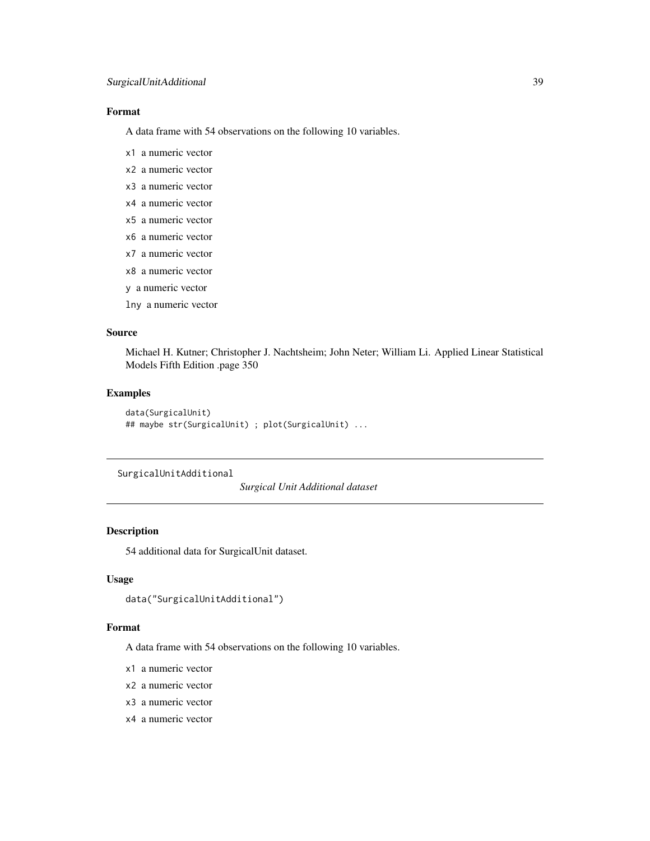# <span id="page-38-0"></span>Format

A data frame with 54 observations on the following 10 variables.

- x1 a numeric vector
- x2 a numeric vector
- x3 a numeric vector
- x4 a numeric vector
- x5 a numeric vector
- x6 a numeric vector
- x7 a numeric vector
- x8 a numeric vector
- y a numeric vector
- lny a numeric vector

# Source

Michael H. Kutner; Christopher J. Nachtsheim; John Neter; William Li. Applied Linear Statistical Models Fifth Edition .page 350

# Examples

```
data(SurgicalUnit)
## maybe str(SurgicalUnit) ; plot(SurgicalUnit) ...
```
SurgicalUnitAdditional

*Surgical Unit Additional dataset*

### Description

54 additional data for SurgicalUnit dataset.

### Usage

```
data("SurgicalUnitAdditional")
```
#### Format

A data frame with 54 observations on the following 10 variables.

- x1 a numeric vector
- x2 a numeric vector
- x3 a numeric vector
- x4 a numeric vector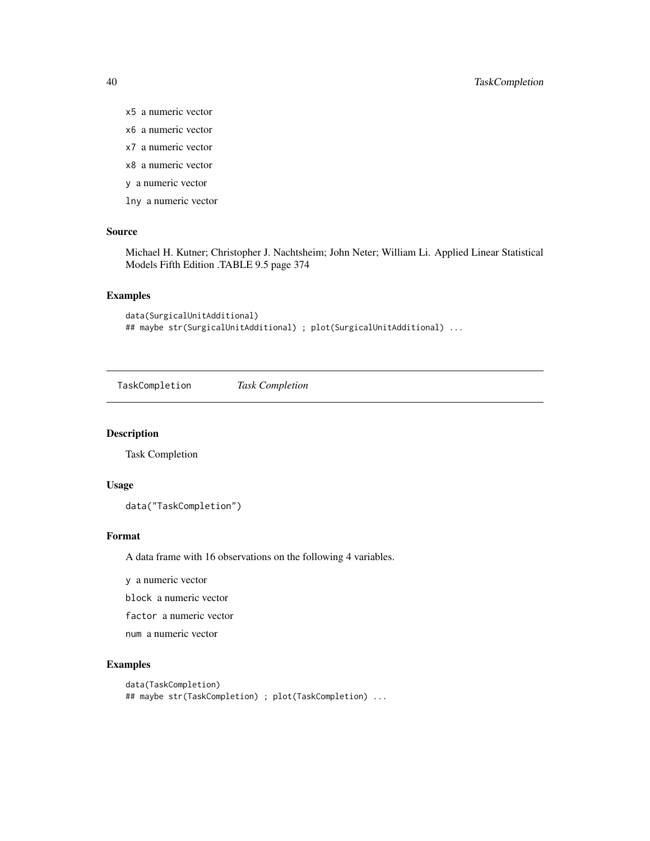# <span id="page-39-0"></span>40 TaskCompletion

- x5 a numeric vector
- x6 a numeric vector
- x7 a numeric vector
- x8 a numeric vector
- y a numeric vector
- lny a numeric vector

# Source

Michael H. Kutner; Christopher J. Nachtsheim; John Neter; William Li. Applied Linear Statistical Models Fifth Edition .TABLE 9.5 page 374

#### Examples

```
data(SurgicalUnitAdditional)
## maybe str(SurgicalUnitAdditional) ; plot(SurgicalUnitAdditional) ...
```
TaskCompletion *Task Completion*

### Description

Task Completion

#### Usage

data("TaskCompletion")

### Format

A data frame with 16 observations on the following 4 variables.

y a numeric vector

block a numeric vector

factor a numeric vector

num a numeric vector

```
data(TaskCompletion)
## maybe str(TaskCompletion) ; plot(TaskCompletion) ...
```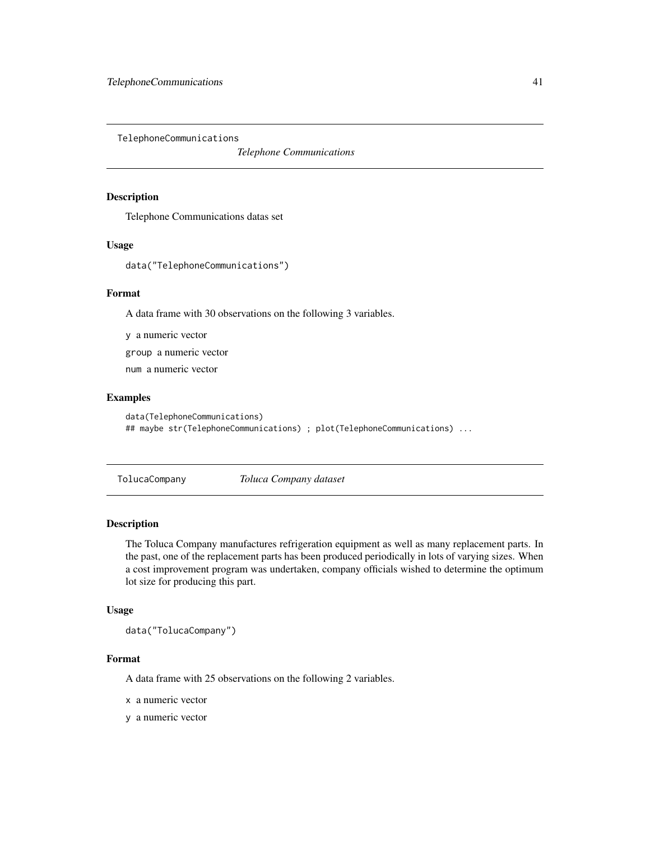<span id="page-40-0"></span>TelephoneCommunications

*Telephone Communications*

### Description

Telephone Communications datas set

### Usage

data("TelephoneCommunications")

#### Format

A data frame with 30 observations on the following 3 variables.

y a numeric vector

group a numeric vector

num a numeric vector

# Examples

```
data(TelephoneCommunications)
## maybe str(TelephoneCommunications) ; plot(TelephoneCommunications) ...
```
TolucaCompany *Toluca Company dataset*

### Description

The Toluca Company manufactures refrigeration equipment as well as many replacement parts. In the past, one of the replacement parts has been produced periodically in lots of varying sizes. When a cost improvement program was undertaken, company officials wished to determine the optimum lot size for producing this part.

### Usage

data("TolucaCompany")

#### Format

A data frame with 25 observations on the following 2 variables.

x a numeric vector

y a numeric vector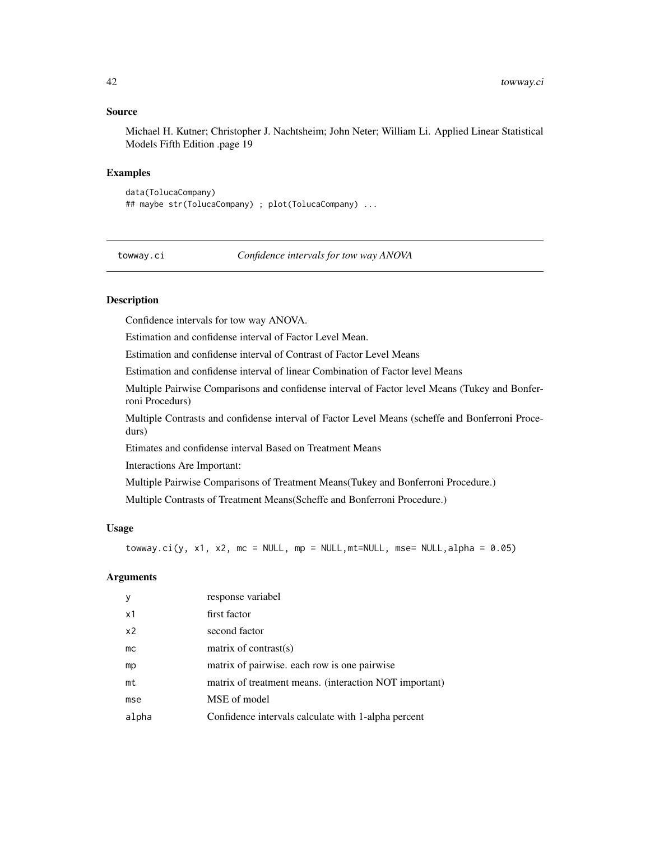### Source

Michael H. Kutner; Christopher J. Nachtsheim; John Neter; William Li. Applied Linear Statistical Models Fifth Edition .page 19

#### Examples

```
data(TolucaCompany)
## maybe str(TolucaCompany) ; plot(TolucaCompany) ...
```
towway.ci *Confidence intervals for tow way ANOVA*

### Description

Confidence intervals for tow way ANOVA.

Estimation and confidense interval of Factor Level Mean.

Estimation and confidense interval of Contrast of Factor Level Means

Estimation and confidense interval of linear Combination of Factor level Means

Multiple Pairwise Comparisons and confidense interval of Factor level Means (Tukey and Bonferroni Procedurs)

Multiple Contrasts and confidense interval of Factor Level Means (scheffe and Bonferroni Procedurs)

Etimates and confidense interval Based on Treatment Means

Interactions Are Important:

Multiple Pairwise Comparisons of Treatment Means(Tukey and Bonferroni Procedure.)

Multiple Contrasts of Treatment Means(Scheffe and Bonferroni Procedure.)

### Usage

towway.ci(y, x1, x2, mc = NULL, mp = NULL,mt=NULL, mse= NULL,alpha =  $0.05$ )

# Arguments

| y              | response variabel                                      |
|----------------|--------------------------------------------------------|
| x1             | first factor                                           |
| x <sub>2</sub> | second factor                                          |
| mc             | matrix of contrast( $s$ )                              |
| mp             | matrix of pairwise, each row is one pairwise           |
| mt             | matrix of treatment means. (interaction NOT important) |
| mse            | MSE of model                                           |
| alpha          | Confidence intervals calculate with 1-alpha percent    |

<span id="page-41-0"></span>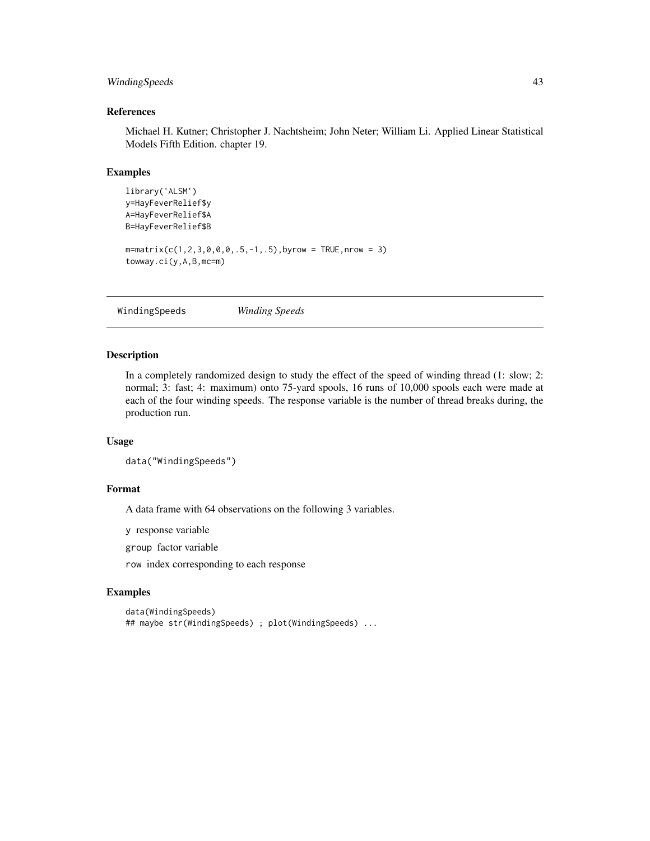# <span id="page-42-0"></span>WindingSpeeds 43

# References

Michael H. Kutner; Christopher J. Nachtsheim; John Neter; William Li. Applied Linear Statistical Models Fifth Edition. chapter 19.

### Examples

```
library('ALSM')
y=HayFeverRelief$y
A=HayFeverRelief$A
B=HayFeverRelief$B
m = matrix(c(1, 2, 3, 0, 0, 0, 0, 5, -1, .5), byrow = TRUE, nrow = 3)
towway.ci(y,A,B,mc=m)
```
WindingSpeeds *Winding Speeds*

#### Description

In a completely randomized design to study the effect of the speed of winding thread (1: slow; 2: normal; 3: fast; 4: maximum) onto 75-yard spools, 16 runs of 10,000 spools each were made at each of the four winding speeds. The response variable is the number of thread breaks during, the production run.

### Usage

```
data("WindingSpeeds")
```
### Format

A data frame with 64 observations on the following 3 variables.

y response variable

group factor variable

row index corresponding to each response

```
data(WindingSpeeds)
## maybe str(WindingSpeeds) ; plot(WindingSpeeds) ...
```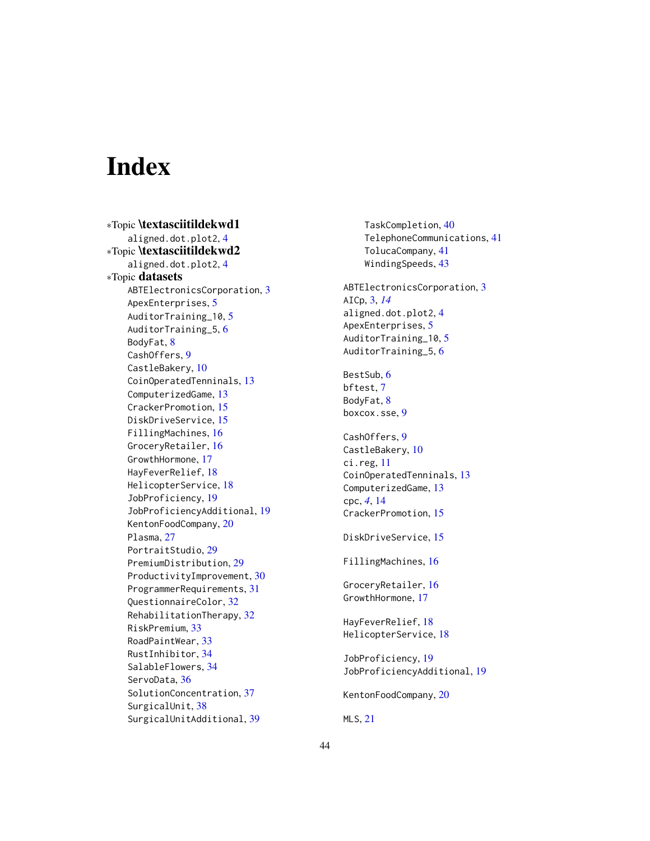# <span id="page-43-0"></span>**Index**

∗Topic \textasciitildekwd1 aligned.dot.plot2, [4](#page-3-0) ∗Topic \textasciitildekwd2 aligned.dot.plot2, [4](#page-3-0) ∗Topic datasets ABTElectronicsCorporation, [3](#page-2-0) ApexEnterprises, [5](#page-4-0) AuditorTraining\_10, [5](#page-4-0) AuditorTraining\_5, [6](#page-5-0) BodyFat, [8](#page-7-0) CashOffers, [9](#page-8-0) CastleBakery, [10](#page-9-0) CoinOperatedTenninals, [13](#page-12-0) ComputerizedGame, [13](#page-12-0) CrackerPromotion, [15](#page-14-0) DiskDriveService, [15](#page-14-0) FillingMachines, [16](#page-15-0) GroceryRetailer, [16](#page-15-0) GrowthHormone, [17](#page-16-0) HayFeverRelief, [18](#page-17-0) HelicopterService, [18](#page-17-0) JobProficiency, [19](#page-18-0) JobProficiencyAdditional, [19](#page-18-0) KentonFoodCompany, [20](#page-19-0) Plasma, [27](#page-26-0) PortraitStudio, [29](#page-28-0) PremiumDistribution, [29](#page-28-0) ProductivityImprovement, [30](#page-29-0) ProgrammerRequirements, [31](#page-30-0) QuestionnaireColor, [32](#page-31-0) RehabilitationTherapy, [32](#page-31-0) RiskPremium, [33](#page-32-0) RoadPaintWear, [33](#page-32-0) RustInhibitor, [34](#page-33-0) SalableFlowers, [34](#page-33-0) ServoData, [36](#page-35-0) SolutionConcentration, [37](#page-36-0) SurgicalUnit, [38](#page-37-0) SurgicalUnitAdditional, [39](#page-38-0)

TaskCompletion, [40](#page-39-0) TelephoneCommunications, [41](#page-40-0) TolucaCompany, [41](#page-40-0) WindingSpeeds, [43](#page-42-0) ABTElectronicsCorporation, [3](#page-2-0) AICp, [3,](#page-2-0) *[14](#page-13-0)* aligned.dot.plot2, [4](#page-3-0) ApexEnterprises, [5](#page-4-0) AuditorTraining\_10, [5](#page-4-0) AuditorTraining\_5, [6](#page-5-0) BestSub, [6](#page-5-0) bftest, [7](#page-6-0) BodyFat, [8](#page-7-0) boxcox.sse, [9](#page-8-0) CashOffers, [9](#page-8-0) CastleBakery, [10](#page-9-0) ci.reg, [11](#page-10-0) CoinOperatedTenninals, [13](#page-12-0) ComputerizedGame, [13](#page-12-0) cpc, *[4](#page-3-0)*, [14](#page-13-0) CrackerPromotion, [15](#page-14-0) DiskDriveService, [15](#page-14-0) FillingMachines, [16](#page-15-0) GroceryRetailer, [16](#page-15-0) GrowthHormone, [17](#page-16-0) HayFeverRelief, [18](#page-17-0) HelicopterService, [18](#page-17-0) JobProficiency, [19](#page-18-0) JobProficiencyAdditional, [19](#page-18-0) KentonFoodCompany, [20](#page-19-0) MLS, [21](#page-20-0)